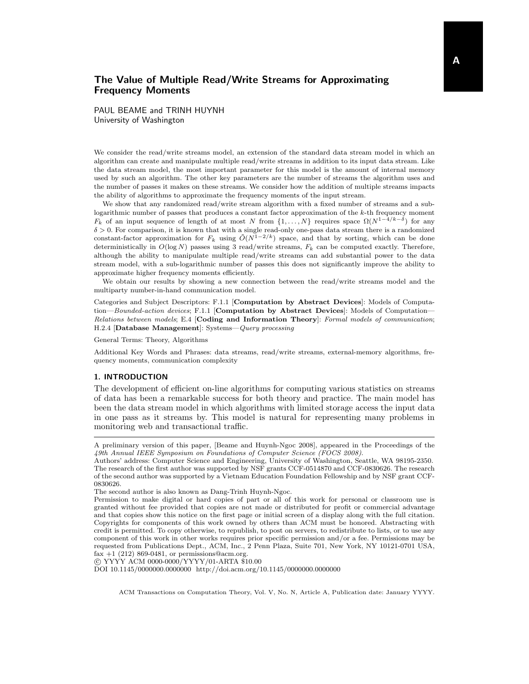PAUL BEAME and TRINH HUYNH University of Washington

We consider the read/write streams model, an extension of the standard data stream model in which an algorithm can create and manipulate multiple read/write streams in addition to its input data stream. Like the data stream model, the most important parameter for this model is the amount of internal memory used by such an algorithm. The other key parameters are the number of streams the algorithm uses and the number of passes it makes on these streams. We consider how the addition of multiple streams impacts the ability of algorithms to approximate the frequency moments of the input stream.

We show that any randomized read/write stream algorithm with a fixed number of streams and a sublogarithmic number of passes that produces a constant factor approximation of the k-th frequency moment  $F_k$  of an input sequence of length of at most N from  $\{1, \ldots, N\}$  requires space  $\Omega(N^{1-4/k-\delta})$  for any  $\delta > 0$ . For comparison, it is known that with a single read-only one-pass data stream there is a randomized constant-factor approximation for  $F_k$  using  $\tilde{O}(N^{1-2/k})$  space, and that by sorting, which can be done deterministically in  $O(\log N)$  passes using 3 read/write streams,  $F_k$  can be computed exactly. Therefore, although the ability to manipulate multiple read/write streams can add substantial power to the data stream model, with a sub-logarithmic number of passes this does not significantly improve the ability to approximate higher frequency moments efficiently.

We obtain our results by showing a new connection between the read/write streams model and the multiparty number-in-hand communication model.

Categories and Subject Descriptors: F.1.1 [Computation by Abstract Devices]: Models of Computation—Bounded-action devices; F.1.1 [Computation by Abstract Devices]: Models of Computation— Relations between models; E.4 [Coding and Information Theory]: Formal models of communication; H.2.4 [Database Management]: Systems—Query processing

General Terms: Theory, Algorithms

Additional Key Words and Phrases: data streams, read/write streams, external-memory algorithms, frequency moments, communication complexity

## 1. INTRODUCTION

The development of efficient on-line algorithms for computing various statistics on streams of data has been a remarkable success for both theory and practice. The main model has been the data stream model in which algorithms with limited storage access the input data in one pass as it streams by. This model is natural for representing many problems in monitoring web and transactional traffic.

c YYYY ACM 0000-0000/YYYY/01-ARTA \$10.00

DOI 10.1145/0000000.0000000 http://doi.acm.org/10.1145/0000000.0000000

A preliminary version of this paper, [Beame and Huynh-Ngoc 2008], appeared in the Proceedings of the 49th Annual IEEE Symposium on Foundations of Computer Science (FOCS 2008).

Authors' address: Computer Science and Engineering, University of Washington, Seattle, WA 98195-2350. The research of the first author was supported by NSF grants CCF-0514870 and CCF-0830626. The research of the second author was supported by a Vietnam Education Foundation Fellowship and by NSF grant CCF-0830626.

The second author is also known as Dang-Trinh Huynh-Ngoc.

Permission to make digital or hard copies of part or all of this work for personal or classroom use is granted without fee provided that copies are not made or distributed for profit or commercial advantage and that copies show this notice on the first page or initial screen of a display along with the full citation. Copyrights for components of this work owned by others than ACM must be honored. Abstracting with credit is permitted. To copy otherwise, to republish, to post on servers, to redistribute to lists, or to use any component of this work in other works requires prior specific permission and/or a fee. Permissions may be requested from Publications Dept., ACM, Inc., 2 Penn Plaza, Suite 701, New York, NY 10121-0701 USA, fax  $+1$  (212) 869-0481, or permissions@acm.org.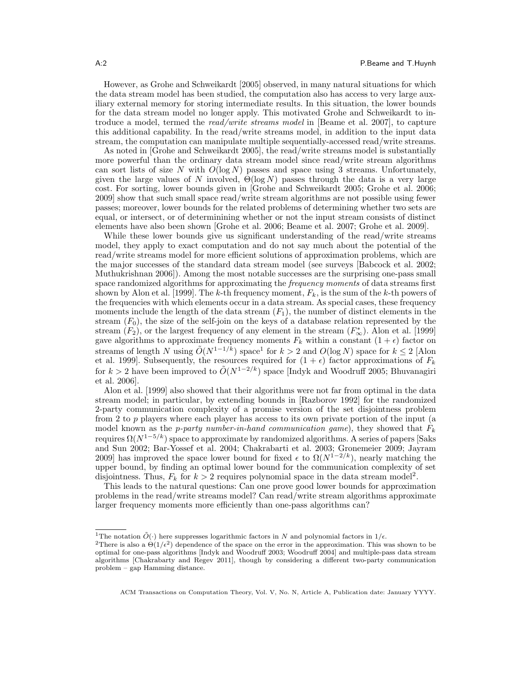However, as Grohe and Schweikardt [2005] observed, in many natural situations for which the data stream model has been studied, the computation also has access to very large auxiliary external memory for storing intermediate results. In this situation, the lower bounds for the data stream model no longer apply. This motivated Grohe and Schweikardt to introduce a model, termed the read/write streams model in [Beame et al. 2007], to capture this additional capability. In the read/write streams model, in addition to the input data stream, the computation can manipulate multiple sequentially-accessed read/write streams.

As noted in [Grohe and Schweikardt 2005], the read/write streams model is substantially more powerful than the ordinary data stream model since read/write stream algorithms can sort lists of size N with  $O(\log N)$  passes and space using 3 streams. Unfortunately, given the large values of N involved,  $\Theta(\log N)$  passes through the data is a very large cost. For sorting, lower bounds given in [Grohe and Schweikardt 2005; Grohe et al. 2006; 2009] show that such small space read/write stream algorithms are not possible using fewer passes; moreover, lower bounds for the related problems of determining whether two sets are equal, or intersect, or of determinining whether or not the input stream consists of distinct elements have also been shown [Grohe et al. 2006; Beame et al. 2007; Grohe et al. 2009].

While these lower bounds give us significant understanding of the read/write streams model, they apply to exact computation and do not say much about the potential of the read/write streams model for more efficient solutions of approximation problems, which are the major successes of the standard data stream model (see surveys [Babcock et al. 2002; Muthukrishnan 2006]). Among the most notable successes are the surprising one-pass small space randomized algorithms for approximating the *frequency moments* of data streams first shown by Alon et al. [1999]. The k-th frequency moment,  $F_k$ , is the sum of the k-th powers of the frequencies with which elements occur in a data stream. As special cases, these frequency moments include the length of the data stream  $(F_1)$ , the number of distinct elements in the stream  $(F_0)$ , the size of the self-join on the keys of a database relation represented by the stream  $(F_2)$ , or the largest frequency of any element in the stream  $(F_{\infty}^*)$ . Alon et al. [1999] gave algorithms to approximate frequency moments  $F_k$  within a constant  $(1 + \epsilon)$  factor on streams of length N using  $\tilde{O}(N^{1-1/k})$  space<sup>1</sup> for  $k > 2$  and  $O(\log N)$  space for  $k \leq 2$  [Alon et al. 1999]. Subsequently, the resources required for  $(1 + \epsilon)$  factor approximations of  $F_k$ for  $k > 2$  have been improved to  $O(N^{1-2/k})$  space [Indyk and Woodruff 2005; Bhuvanagiri et al. 2006].

Alon et al. [1999] also showed that their algorithms were not far from optimal in the data stream model; in particular, by extending bounds in [Razborov 1992] for the randomized 2-party communication complexity of a promise version of the set disjointness problem from 2 to p players where each player has access to its own private portion of the input (a model known as the *p*-party number-in-hand communication game), they showed that  $F_k$ requires  $\Omega(N^{1-5/k})$  space to approximate by randomized algorithms. A series of papers [Saks and Sun 2002; Bar-Yossef et al. 2004; Chakrabarti et al. 2003; Gronemeier 2009; Jayram 2009] has improved the space lower bound for fixed  $\epsilon$  to  $\Omega(N^{1-2/k})$ , nearly matching the upper bound, by finding an optimal lower bound for the communication complexity of set disjointness. Thus,  $F_k$  for  $k > 2$  requires polynomial space in the data stream model<sup>2</sup>.

This leads to the natural questions: Can one prove good lower bounds for approximation problems in the read/write streams model? Can read/write stream algorithms approximate larger frequency moments more efficiently than one-pass algorithms can?

<sup>&</sup>lt;sup>1</sup>The notation  $\tilde{O}(\cdot)$  here suppresses logarithmic factors in  $N$  and polynomial factors in  $1/\epsilon$ .

<sup>&</sup>lt;sup>2</sup>There is also a  $\Theta(1/\epsilon^2)$  dependence of the space on the error in the approximation. This was shown to be optimal for one-pass algorithms [Indyk and Woodruff 2003; Woodruff 2004] and multiple-pass data stream algorithms [Chakrabarty and Regev 2011], though by considering a different two-party communication problem – gap Hamming distance.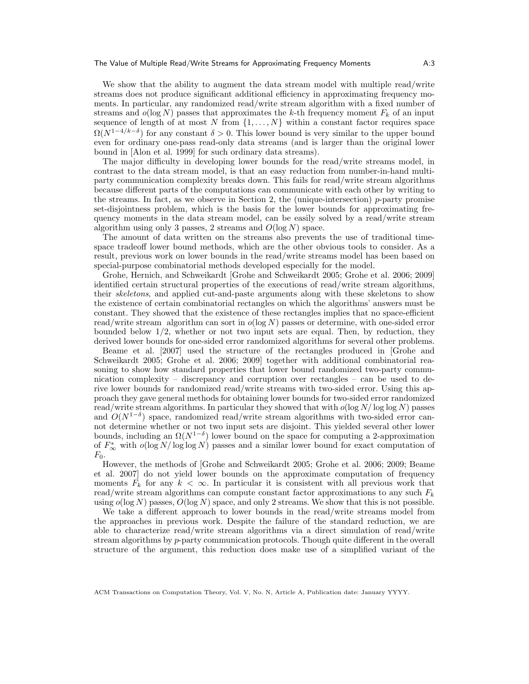We show that the ability to augment the data stream model with multiple read/write streams does not produce significant additional efficiency in approximating frequency moments. In particular, any randomized read/write stream algorithm with a fixed number of streams and  $o(\log N)$  passes that approximates the k-th frequency moment  $F_k$  of an input sequence of length of at most N from  $\{1, \ldots, N\}$  within a constant factor requires space  $\Omega(N^{1-4/k-\delta})$  for any constant  $\delta > 0$ . This lower bound is very similar to the upper bound even for ordinary one-pass read-only data streams (and is larger than the original lower bound in [Alon et al. 1999] for such ordinary data streams).

The major difficulty in developing lower bounds for the read/write streams model, in contrast to the data stream model, is that an easy reduction from number-in-hand multiparty communication complexity breaks down. This fails for read/write stream algorithms because different parts of the computations can communicate with each other by writing to the streams. In fact, as we observe in Section 2, the (unique-intersection)  $p$ -party promise set-disjointness problem, which is the basis for the lower bounds for approximating frequency moments in the data stream model, can be easily solved by a read/write stream algorithm using only 3 passes, 2 streams and  $O(\log N)$  space.

The amount of data written on the streams also prevents the use of traditional timespace tradeoff lower bound methods, which are the other obvious tools to consider. As a result, previous work on lower bounds in the read/write streams model has been based on special-purpose combinatorial methods developed especially for the model.

Grohe, Hernich, and Schweikardt [Grohe and Schweikardt 2005; Grohe et al. 2006; 2009] identified certain structural properties of the executions of read/write stream algorithms, their skeletons, and applied cut-and-paste arguments along with these skeletons to show the existence of certain combinatorial rectangles on which the algorithms' answers must be constant. They showed that the existence of these rectangles implies that no space-efficient read/write stream algorithm can sort in  $o(\log N)$  passes or determine, with one-sided error bounded below 1/2, whether or not two input sets are equal. Then, by reduction, they derived lower bounds for one-sided error randomized algorithms for several other problems.

Beame et al. [2007] used the structure of the rectangles produced in [Grohe and Schweikardt 2005; Grohe et al. 2006; 2009] together with additional combinatorial reasoning to show how standard properties that lower bound randomized two-party communication complexity – discrepancy and corruption over rectangles – can be used to derive lower bounds for randomized read/write streams with two-sided error. Using this approach they gave general methods for obtaining lower bounds for two-sided error randomized read/write stream algorithms. In particular they showed that with  $o(\log N/\log \log N)$  passes and  $O(N^{1-\delta})$  space, randomized read/write stream algorithms with two-sided error cannot determine whether or not two input sets are disjoint. This yielded several other lower bounds, including an  $\Omega(N^{1-\delta})$  lower bound on the space for computing a 2-approximation of  $F_{\infty}^*$  with  $o(\log N/\log \log N)$  passes and a similar lower bound for exact computation of  $F_0$ .

However, the methods of [Grohe and Schweikardt 2005; Grohe et al. 2006; 2009; Beame et al. 2007] do not yield lower bounds on the approximate computation of frequency moments  $F_k$  for any  $k < \infty$ . In particular it is consistent with all previous work that read/write stream algorithms can compute constant factor approximations to any such  $F_k$ using  $o(\log N)$  passes,  $O(\log N)$  space, and only 2 streams. We show that this is not possible.

We take a different approach to lower bounds in the read/write streams model from the approaches in previous work. Despite the failure of the standard reduction, we are able to characterize read/write stream algorithms via a direct simulation of read/write stream algorithms by p-party communication protocols. Though quite different in the overall structure of the argument, this reduction does make use of a simplified variant of the

ACM Transactions on Computation Theory, Vol. V, No. N, Article A, Publication date: January YYYY.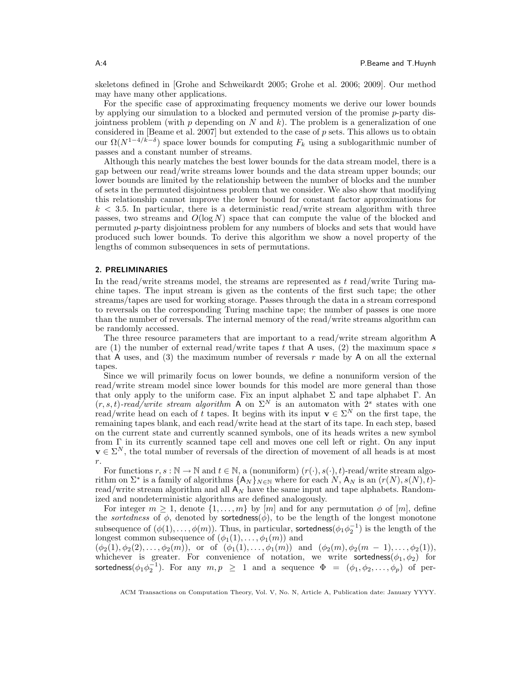skeletons defined in [Grohe and Schweikardt 2005; Grohe et al. 2006; 2009]. Our method may have many other applications.

For the specific case of approximating frequency moments we derive our lower bounds by applying our simulation to a blocked and permuted version of the promise  $p$ -party disjointness problem (with  $p$  depending on N and k). The problem is a generalization of one considered in [Beame et al. 2007] but extended to the case of  $p$  sets. This allows us to obtain our  $\Omega(N^{1-4/k-\delta})$  space lower bounds for computing  $F_k$  using a sublogarithmic number of passes and a constant number of streams.

Although this nearly matches the best lower bounds for the data stream model, there is a gap between our read/write streams lower bounds and the data stream upper bounds; our lower bounds are limited by the relationship between the number of blocks and the number of sets in the permuted disjointness problem that we consider. We also show that modifying this relationship cannot improve the lower bound for constant factor approximations for  $k < 3.5$ . In particular, there is a deterministic read/write stream algorithm with three passes, two streams and  $O(\log N)$  space that can compute the value of the blocked and permuted p-party disjointness problem for any numbers of blocks and sets that would have produced such lower bounds. To derive this algorithm we show a novel property of the lengths of common subsequences in sets of permutations.

## 2. PRELIMINARIES

In the read/write streams model, the streams are represented as  $t$  read/write Turing machine tapes. The input stream is given as the contents of the first such tape; the other streams/tapes are used for working storage. Passes through the data in a stream correspond to reversals on the corresponding Turing machine tape; the number of passes is one more than the number of reversals. The internal memory of the read/write streams algorithm can be randomly accessed.

The three resource parameters that are important to a read/write stream algorithm A are (1) the number of external read/write tapes t that A uses, (2) the maximum space s that A uses, and (3) the maximum number of reversals  $r$  made by A on all the external tapes.

Since we will primarily focus on lower bounds, we define a nonuniform version of the read/write stream model since lower bounds for this model are more general than those that only apply to the uniform case. Fix an input alphabet  $\Sigma$  and tape alphabet  $\Gamma$ . An  $(r, s, t)$ -read/write stream algorithm A on  $\Sigma^N$  is an automaton with  $2^s$  states with one read/write head on each of t tapes. It begins with its input  $\mathbf{v} \in \Sigma^N$  on the first tape, the remaining tapes blank, and each read/write head at the start of its tape. In each step, based on the current state and currently scanned symbols, one of its heads writes a new symbol from Γ in its currently scanned tape cell and moves one cell left or right. On any input  $\mathbf{v} \in \Sigma^N$ , the total number of reversals of the direction of movement of all heads is at most r.

For functions  $r, s : \mathbb{N} \to \mathbb{N}$  and  $t \in \mathbb{N}$ , a (nonuniform)  $(r(\cdot), s(\cdot), t)$ -read/write stream algorithm on  $\Sigma^*$  is a family of algorithms  $\{A_N\}_{N\in\mathbb{N}}$  where for each  $N$ ,  $A_N$  is an  $(r(N), s(N), t)$ read/write stream algorithm and all  $A_N$  have the same input and tape alphabets. Randomized and nondeterministic algorithms are defined analogously.

For integer  $m \geq 1$ , denote  $\{1, \ldots, m\}$  by  $[m]$  and for any permutation  $\phi$  of  $[m]$ , define the sortedness of  $\phi$ , denoted by sortedness( $\phi$ ), to be the length of the longest monotone subsequence of  $(\phi(1), \ldots, \phi(m))$ . Thus, in particular, sortedness  $(\phi_1 \phi_2^{-1})$  is the length of the longest common subsequence of  $(\phi_1(1), \ldots, \phi_1(m))$  and

 $(\phi_2(1), \phi_2(2), \ldots, \phi_2(m))$ , or of  $(\phi_1(1), \ldots, \phi_1(m))$  and  $(\phi_2(m), \phi_2(m-1), \ldots, \phi_2(1))$ , whichever is greater. For convenience of notation, we write sortedness( $\phi_1, \phi_2$ ) for sortedness $(\phi_1 \phi_2^{-1})$ . For any  $m, p$   $\geq$  1 and a sequence  $\Phi$  =  $(\phi_1, \phi_2, \ldots, \phi_p)$  of per-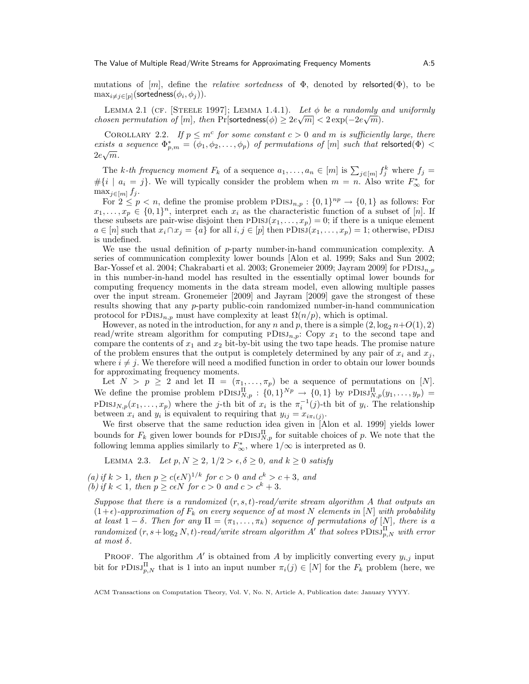mutations of  $[m]$ , define the *relative sortedness* of  $\Phi$ , denoted by relsorted( $\Phi$ ), to be  $\max_{i\neq j\in [p]}(\textsf{sortedness}(\phi_i, \phi_j)).$ 

LEMMA 2.1 (CF. [STEELE 1997]; LEMMA 1.4.1). Let  $\phi$  be a randomly and uniformly *chosen permutation of* [m], then Pr[sortedness( $\phi$ )  $\geq 2e\sqrt{m}$  <  $2 \exp(-2e\sqrt{m})$ .

COROLLARY 2.2. If  $p \leq m^c$  for some constant  $c > 0$  and m is sufficiently large, there exists a sequence  $\Phi_{p,m}^* = (\phi_1, \phi_2, \ldots, \phi_p)$  of permutations of  $[m]$  such that relsorted $(\Phi)$  <  $2e\sqrt{m}$  .

The k-th frequency moment  $F_k$  of a sequence  $a_1, \ldots, a_n \in [m]$  is  $\sum_{j \in [m]} f_j^k$  where  $f_j =$  $\#\{i \mid a_i = j\}$ . We will typically consider the problem when  $m = n$ . Also write  $F^*_{\infty}$  for  $\max_{j\in[m]} f_j$ .

For  $2 \le p < n$ , define the promise problem  $PDISJ_{n,p} : \{0,1\}^{np} \to \{0,1\}$  as follows: For  $x_1, \ldots, x_p \in \{0,1\}^n$ , interpret each  $x_i$  as the characteristic function of a subset of [n]. If these subsets are pair-wise disjoint then  $PDISJ(x_1, \ldots, x_p) = 0$ ; if there is a unique element  $a \in [n]$  such that  $x_i \cap x_j = \{a\}$  for all  $i, j \in [p]$  then  $PDISJ(x_1, \ldots, x_p) = 1$ ; otherwise,  $PDISJ$ is undefined.

We use the usual definition of  $p$ -party number-in-hand communication complexity. A series of communication complexity lower bounds [Alon et al. 1999; Saks and Sun 2002; Bar-Yossef et al. 2004; Chakrabarti et al. 2003; Gronemeier 2009; Jayram 2009] for PDISJ<sub>n,p</sub> in this number-in-hand model has resulted in the essentially optimal lower bounds for computing frequency moments in the data stream model, even allowing multiple passes over the input stream. Gronemeier [2009] and Jayram [2009] gave the strongest of these results showing that any p-party public-coin randomized number-in-hand communication protocol for  $PDISJ_{n,p}$  must have complexity at least  $\Omega(n/p)$ , which is optimal.

However, as noted in the introduction, for any n and p, there is a simple  $(2, \log_2 n+O(1), 2)$ read/write stream algorithm for computing  $PDIS_{n,p}$ : Copy  $x_1$  to the second tape and compare the contents of  $x_1$  and  $x_2$  bit-by-bit using the two tape heads. The promise nature of the problem ensures that the output is completely determined by any pair of  $x_i$  and  $x_j$ , where  $i \neq j$ . We therefore will need a modified function in order to obtain our lower bounds for approximating frequency moments.

Let  $N > p \geq 2$  and let  $\Pi = (\pi_1, \ldots, \pi_p)$  be a sequence of permutations on [N]. We define the promise problem  $PDISJ_{N,p}^{\Pi}$ :  $\{0,1\}^{Np} \to \{0,1\}$  by  $PDISJ_{N,p}^{\Pi}(y_1,\ldots,y_p)$  =  $PDISJ_{N,p}(x_1,\ldots,x_p)$  where the j-th bit of  $x_i$  is the  $\pi_i^{-1}(j)$ -th bit of  $y_i$ . The relationship between  $x_i$  and  $y_i$  is equivalent to requiring that  $y_{ij} = x_{i\pi_i(j)}$ .

We first observe that the same reduction idea given in [Alon et al. 1999] yields lower bounds for  $F_k$  given lower bounds for  $PDISJ_{N,p}^{\Pi}$  for suitable choices of p. We note that the following lemma applies similarly to  $F_{\infty}^*$ , where  $1/\infty$  is interpreted as 0.

LEMMA 2.3. Let  $p, N \geq 2, 1/2 > \epsilon, \delta \geq 0$ , and  $k \geq 0$  satisfy

(a) if  $k > 1$ , then  $p \ge c(\epsilon N)^{1/k}$  for  $c > 0$  and  $c^k > c + 3$ , and (b) if  $k < 1$ , then  $p \ge c \epsilon N$  for  $c > 0$  and  $c > c^k + 3$ .

Suppose that there is a randomized  $(r, s, t)$ -read/write stream algorithm A that outputs an  $(1+\epsilon)$ -approximation of  $F_k$  on every sequence of at most N elements in [N] with probability at least  $1 - \delta$ . Then for any  $\Pi = (\pi_1, \ldots, \pi_k)$  sequence of permutations of  $[N]$ , there is a randomized  $(r, s + \log_2 N, t)$ -read/write stream algorithm A' that solves  $\text{PDISJ}_{p,N}^{\Pi}$  with error at most δ.

PROOF. The algorithm  $A'$  is obtained from A by implicitly converting every  $y_{i,j}$  input bit for PDISJ<sub>P</sub>,<sub>N</sub> that is 1 into an input number  $\pi_i(j) \in [N]$  for the  $F_k$  problem (here, we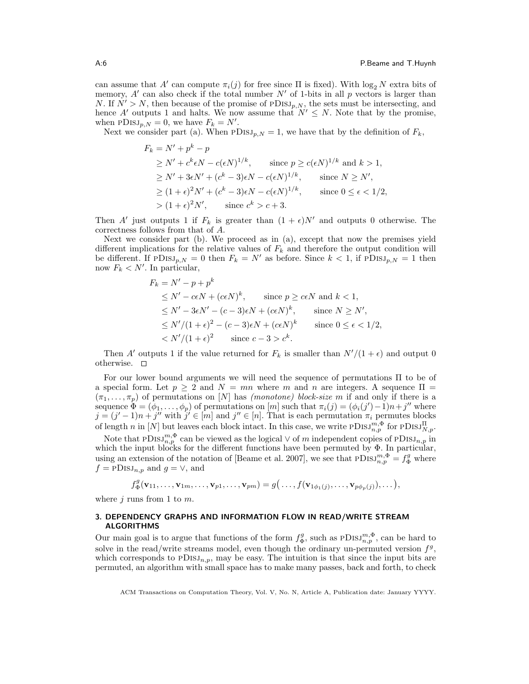can assume that A' can compute  $\pi_i(j)$  for free since  $\Pi$  is fixed). With  $\log_2 N$  extra bits of memory, A' can also check if the total number  $N'$  of 1-bits in all p vectors is larger than N. If  $N' > N$ , then because of the promise of PDISJ<sub>p,N</sub>, the sets must be intersecting, and hence A' outputs 1 and halts. We now assume that  $N' \leq N$ . Note that by the promise, when  $PDISJ_{p,N} = 0$ , we have  $F_k = N'.$ 

Next we consider part (a). When  $PDISJ_{p,N} = 1$ , we have that by the definition of  $F_k$ ,

$$
F_k = N' + p^k - p
$$
  
\n
$$
\geq N' + c^k \epsilon N - c(\epsilon N)^{1/k}, \qquad \text{since } p \geq c(\epsilon N)^{1/k} \text{ and } k > 1,
$$
  
\n
$$
\geq N' + 3\epsilon N' + (c^k - 3)\epsilon N - c(\epsilon N)^{1/k}, \qquad \text{since } N \geq N',
$$
  
\n
$$
\geq (1 + \epsilon)^2 N' + (c^k - 3)\epsilon N - c(\epsilon N)^{1/k}, \qquad \text{since } 0 \leq \epsilon < 1/2,
$$
  
\n
$$
> (1 + \epsilon)^2 N', \qquad \text{since } c^k > c + 3.
$$

Then A' just outputs 1 if  $F_k$  is greater than  $(1 + \epsilon)N'$  and outputs 0 otherwise. The correctness follows from that of A.

Next we consider part (b). We proceed as in (a), except that now the premises yield different implications for the relative values of  $F_k$  and therefore the output condition will be different. If  $PDISJ_{p,N} = 0$  then  $F_k = N'$  as before. Since  $k < 1$ , if  $PDISJ_{p,N} = 1$  then now  $F_k < N'$ . In particular,

$$
F_k = N' - p + p^k
$$
  
\n
$$
\leq N' - c\epsilon N + (c\epsilon N)^k, \quad \text{since } p \geq c\epsilon N \text{ and } k < 1,
$$
  
\n
$$
\leq N' - 3\epsilon N' - (c - 3)\epsilon N + (c\epsilon N)^k, \quad \text{since } N \geq N',
$$
  
\n
$$
\leq N'/(1 + \epsilon)^2 - (c - 3)\epsilon N + (c\epsilon N)^k \quad \text{since } 0 \leq \epsilon < 1/2,
$$
  
\n
$$
< N'/(1 + \epsilon)^2 \quad \text{since } c - 3 > c^k.
$$

Then A' outputs 1 if the value returned for  $F_k$  is smaller than  $N'/(1 + \epsilon)$  and output 0 otherwise.  $\square$ 

For our lower bound arguments we will need the sequence of permutations Π to be of a special form. Let  $p \geq 2$  and  $N = mn$  where m and n are integers. A sequence  $\Pi =$  $(\pi_1, \ldots, \pi_p)$  of permutations on [N] has *(monotone) block-size* m if and only if there is a sequence  $\Phi = (\phi_1, \ldots, \phi_p)$  of permutations on  $[m]$  such that  $\pi_i(j) = (\phi_i(j') - 1)n + j''$  where  $j = (j'-1)n + j''$  with  $j' \in [m]$  and  $j'' \in [n]$ . That is each permutation  $\pi_i$  permutes blocks of length n in [N] but leaves each block intact. In this case, we write  $PDISJ_{n,p}^{m,\Phi}$  for  $PDISJ_{N,p}^{II}$ .

Note that  $PDISJ_{n,p}^{m,\Phi}$  can be viewed as the logical  $\vee$  of m independent copies of  $PDISJ_{n,p}$  in which the input blocks for the different functions have been permuted by  $\Phi$ . In particular, using an extension of the notation of [Beame et al. 2007], we see that  $PDIS_{n,p}^{m,\Phi} = f_{\Phi}^g$  where  $f = \text{PDisJ}_{n,p}$  and  $g = \vee$ , and

$$
f^g_{\Phi}(\mathbf{v}_{11},\ldots,\mathbf{v}_{1m},\ldots,\mathbf{v}_{p1},\ldots,\mathbf{v}_{pm})=g(\ldots,f(\mathbf{v}_{1\phi_1(j)},\ldots,\mathbf{v}_{p\phi_p(j)}),\ldots),
$$

where  $j$  runs from 1 to  $m$ .

# 3. DEPENDENCY GRAPHS AND INFORMATION FLOW IN READ/WRITE STREAM ALGORITHMS

Our main goal is to argue that functions of the form  $f_{\Phi}^g$ , such as  $PDISJ_{n,p}^{m,\Phi}$ , can be hard to solve in the read/write streams model, even though the ordinary un-permuted version  $f<sup>g</sup>$ , which corresponds to  $PDisJ_{n,p}$ , may be easy. The intuition is that since the input bits are permuted, an algorithm with small space has to make many passes, back and forth, to check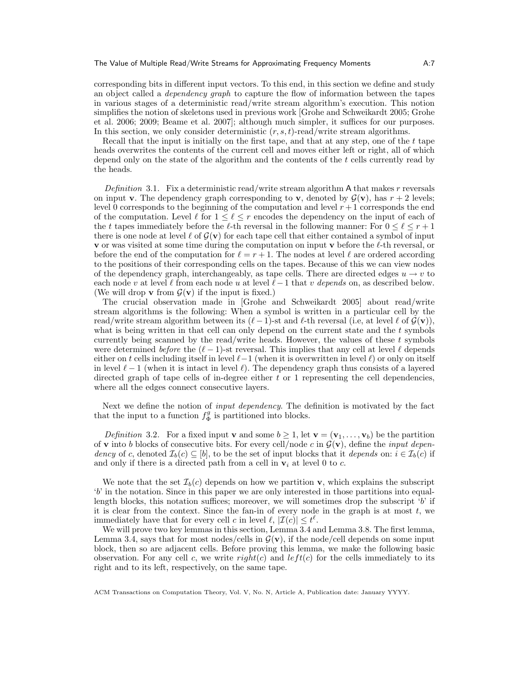corresponding bits in different input vectors. To this end, in this section we define and study an object called a dependency graph to capture the flow of information between the tapes in various stages of a deterministic read/write stream algorithm's execution. This notion simplifies the notion of skeletons used in previous work [Grohe and Schweikardt 2005; Grohe et al. 2006; 2009; Beame et al. 2007]; although much simpler, it suffices for our purposes. In this section, we only consider deterministic  $(r, s, t)$ -read/write stream algorithms.

Recall that the input is initially on the first tape, and that at any step, one of the  $t$  tape heads overwrites the contents of the current cell and moves either left or right, all of which depend only on the state of the algorithm and the contents of the t cells currently read by the heads.

Definition 3.1. Fix a deterministic read/write stream algorithm  $A$  that makes r reversals on input **v**. The dependency graph corresponding to **v**, denoted by  $\mathcal{G}(v)$ , has  $r + 2$  levels; level 0 corresponds to the beginning of the computation and level  $r + 1$  corresponds the end of the computation. Level  $\ell$  for  $1 \leq \ell \leq r$  encodes the dependency on the input of each of the t tapes immediately before the  $\ell$ -th reversal in the following manner: For  $0 \leq \ell \leq r + 1$ there is one node at level  $\ell$  of  $\mathcal{G}(v)$  for each tape cell that either contained a symbol of input **v** or was visited at some time during the computation on input **v** before the  $\ell$ -th reversal, or before the end of the computation for  $\ell = r + 1$ . The nodes at level  $\ell$  are ordered according to the positions of their corresponding cells on the tapes. Because of this we can view nodes of the dependency graph, interchangeably, as tape cells. There are directed edges  $u \to v$  to each node v at level  $\ell$  from each node u at level  $\ell-1$  that v depends on, as described below. (We will drop **v** from  $\mathcal{G}(\mathbf{v})$  if the input is fixed.)

The crucial observation made in [Grohe and Schweikardt 2005] about read/write stream algorithms is the following: When a symbol is written in a particular cell by the read/write stream algorithm between its  $(\ell - 1)$ -st and  $\ell$ -th reversal (i.e, at level  $\ell$  of  $\mathcal{G}(v)$ ), what is being written in that cell can only depend on the current state and the  $t$  symbols currently being scanned by the read/write heads. However, the values of these  $t$  symbols were determined before the  $(\ell - 1)$ -st reversal. This implies that any cell at level  $\ell$  depends either on t cells including itself in level  $\ell-1$  (when it is overwritten in level  $\ell$ ) or only on itself in level  $\ell - 1$  (when it is intact in level  $\ell$ ). The dependency graph thus consists of a layered directed graph of tape cells of in-degree either  $t$  or 1 representing the cell dependencies, where all the edges connect consecutive layers.

Next we define the notion of *input dependency*. The definition is motivated by the fact that the input to a function  $f_{\Phi}^g$  is partitioned into blocks.

Definition 3.2. For a fixed input **v** and some  $b \geq 1$ , let  $\mathbf{v} = (\mathbf{v}_1, \dots, \mathbf{v}_b)$  be the partition of **v** into b blocks of consecutive bits. For every cell/node c in  $\mathcal{G}(\mathbf{v})$ , define the *input depen*dency of c, denoted  $\mathcal{I}_b(c) \subseteq [b]$ , to be the set of input blocks that it depends on:  $i \in \mathcal{I}_b(c)$  if and only if there is a directed path from a cell in  $v_i$  at level 0 to c.

We note that the set  $\mathcal{I}_b(c)$  depends on how we partition **v**, which explains the subscript 'b' in the notation. Since in this paper we are only interested in those partitions into equallength blocks, this notation suffices; moreover, we will sometimes drop the subscript  $b'$  if it is clear from the context. Since the fan-in of every node in the graph is at most  $t$ , we immediately have that for every cell c in level  $\ell, |\mathcal{I}(c)| \leq t^{\ell}$ .

We will prove two key lemmas in this section, Lemma 3.4 and Lemma 3.8. The first lemma, Lemma 3.4, says that for most nodes/cells in  $\mathcal{G}(v)$ , if the node/cell depends on some input block, then so are adjacent cells. Before proving this lemma, we make the following basic observation. For any cell c, we write  $right(c)$  and  $left(c)$  for the cells immediately to its right and to its left, respectively, on the same tape.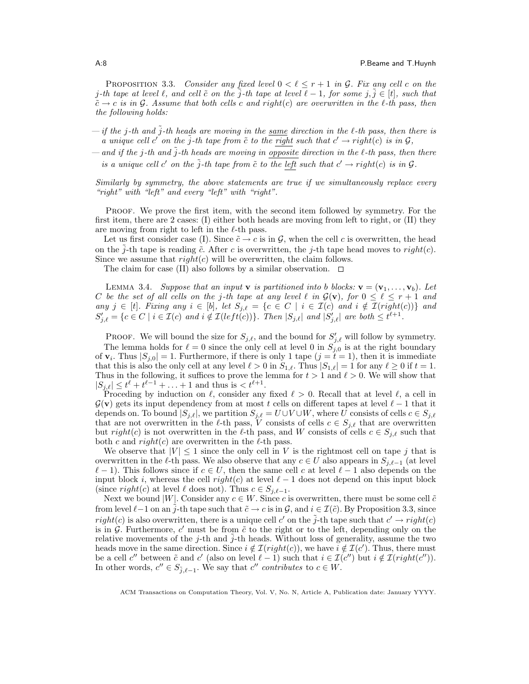PROPOSITION 3.3. Consider any fixed level  $0 < \ell \leq r + 1$  in G. Fix any cell c on the j-th tape at level  $\ell$ , and cell  $\tilde{c}$  on the j-th tape at level  $\ell - 1$ , for some j,  $j \in [t]$ , such that  $\tilde{c} \rightarrow c$  is in G. Assume that both cells c and right(c) are overwritten in the  $l$ -th pass, then the following holds:

- if the j-th and  $\tilde{j}$ -th heads are moving in the same direction in the  $\ell$ -th pass, then there is a unique cell c' on the  $\tilde{j}$ -th tape from  $\tilde{c}$  to the right such that  $c' \rightarrow right(c)$  is in  $\mathcal{G},$
- and if the j-th and  $\tilde{j}$ -th heads are moving in opposite direction in the  $\ell$ -th pass, then there is a unique cell c' on the  $\tilde{j}$ -th tape from  $\tilde{c}$  to the left such that  $c' \rightarrow right(c)$  is in  $\mathcal{G}$ .

Similarly by symmetry, the above statements are true if we simultaneously replace every "right" with "left" and every "left" with "right".

PROOF. We prove the first item, with the second item followed by symmetry. For the first item, there are 2 cases: (I) either both heads are moving from left to right, or (II) they are moving from right to left in the  $\ell$ -th pass.

Let us first consider case (I). Since  $\tilde{c} \to c$  is in G, when the cell c is overwritten, the head on the  $j$ -th tape is reading  $\tilde{c}$ . After c is overwritten, the j-th tape head moves to right(c). Since we assume that  $right(c)$  will be overwritten, the claim follows.

The claim for case (II) also follows by a similar observation.  $\Box$ 

LEMMA 3.4. Suppose that an input **v** is partitioned into b blocks:  $\mathbf{v} = (\mathbf{v}_1, \dots, \mathbf{v}_b)$ . Let C be the set of all cells on the j-th tape at any level  $\ell$  in  $\mathcal{G}(v)$ , for  $0 \leq \ell \leq r + 1$  and any  $j \in [t]$ . Fixing any  $i \in [b]$ , let  $S_{j,\ell} = \{c \in C \mid i \in \mathcal{I}(c) \text{ and } i \notin \mathcal{I}(right(c))\}$  and  $S'_{j,\ell} = \{c \in C \mid i \in \mathcal{I}(c) \text{ and } i \notin \mathcal{I}(left(c))\}. \text{ Then } |S_{j,\ell}| \text{ and } |S'_{j,\ell}| \text{ are both } \leq t^{\ell+1}.$ 

PROOF. We will bound the size for  $S_{j,\ell}$ , and the bound for  $S'_{j,\ell}$  will follow by symmetry.

The lemma holds for  $\ell = 0$  since the only cell at level 0 in  $S_{j,0}$  is at the right boundary of  $\mathbf{v}_i$ . Thus  $|S_{j,0}| = 1$ . Furthermore, if there is only 1 tape  $(j = t = 1)$ , then it is immediate that this is also the only cell at any level  $\ell > 0$  in  $S_{1,\ell}$ . Thus  $|S_{1,\ell}| = 1$  for any  $\ell \geq 0$  if  $t = 1$ . Thus in the following, it suffices to prove the lemma for  $t > 1$  and  $\ell > 0$ . We will show that  $|S_{j,\ell}| \leq t^{\ell} + t^{\ell-1} + \ldots + 1$  and thus is  $.$ 

Proceding by induction on  $\ell$ , consider any fixed  $\ell > 0$ . Recall that at level  $\ell$ , a cell in  $\mathcal{G}(v)$  gets its input dependency from at most t cells on different tapes at level  $\ell - 1$  that it depends on. To bound  $|S_{j,\ell}|$ , we partition  $S_{j,\ell} = U \cup V \cup W$ , where U consists of cells  $c \in S_{j,\ell}$ that are not overwritten in the  $\ell$ -th pass, V consists of cells  $c \in S_{j,\ell}$  that are overwritten but right(c) is not overwritten in the  $\ell$ -th pass, and W consists of cells  $c \in S_{i,\ell}$  such that both c and  $right(c)$  are overwritten in the  $\ell$ -th pass.

We observe that  $|V| \leq 1$  since the only cell in V is the rightmost cell on tape j that is overwritten in the  $\ell$ -th pass. We also observe that any  $c \in U$  also appears in  $S_{i,\ell-1}$  (at level  $\ell - 1$ ). This follows since if  $c \in U$ , then the same cell c at level  $\ell - 1$  also depends on the input block i, whereas the cell  $right(c)$  at level  $\ell - 1$  does not depend on this input block (since right(c) at level  $\ell$  does not). Thus  $c \in S_{i,\ell-1}$ .

Next we bound |W|. Consider any  $c \in W$ . Since c is overwritten, there must be some cell  $\tilde{c}$ from level  $\ell-1$  on an  $\tilde{j}$ -th tape such that  $\tilde{c} \to c$  is in  $\mathcal{G}$ , and  $i \in \mathcal{I}(\tilde{c})$ . By Proposition 3.3, since  $right(c)$  is also overwritten, there is a unique cell c' on the  $\tilde{j}$ -th tape such that  $c' \rightarrow right(c)$ is in  $G$ . Furthermore, c' must be from  $\tilde{c}$  to the right or to the left, depending only on the relative movements of the j-th and j-th heads. Without loss of generality, assume the two heads move in the same direction. Since  $i \notin \mathcal{I}(right(c))$ , we have  $i \notin \mathcal{I}(c')$ . Thus, there must be a cell c'' between  $\tilde{c}$  and c' (also on level  $\ell - 1$ ) such that  $i \in \mathcal{I}(c'')$  but  $i \notin \mathcal{I}(right(c''))$ . In other words,  $c'' \in S_{\tilde{j},\ell-1}$ . We say that  $c''$  contributes to  $c \in W$ .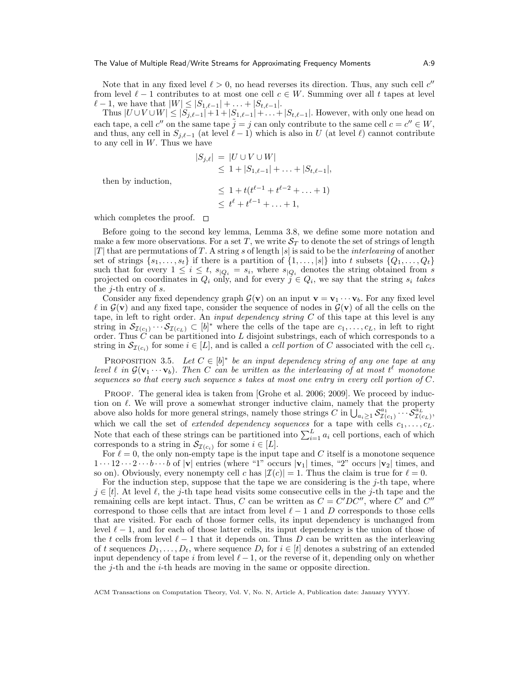Note that in any fixed level  $\ell > 0$ , no head reverses its direction. Thus, any such cell  $c''$ from level  $\ell - 1$  contributes to at most one cell  $c \in W$ . Summing over all t tapes at level  $\ell - 1$ , we have that  $|W| \leq |S_{1,\ell-1}| + \ldots + |S_{t,\ell-1}|$ .

Thus  $|U \cup V \cup W|$  ≤  $|S_{j,\ell-1}|$  + 1 +  $|S_{1,\ell-1}|$  + . . . +  $|S_{t,\ell-1}|$ . However, with only one head on each tape, a cell  $c''$  on the same tape  $\tilde{j} = j$  can only contribute to the same cell  $c = c'' \in W$ , and thus, any cell in  $S_{i,\ell-1}$  (at level  $\ell-1$ ) which is also in U (at level  $\ell$ ) cannot contribute to any cell in  $W$ . Thus we have

$$
|S_{j,\ell}| = |U \cup V \cup W|
$$
  
\n
$$
\leq 1 + |S_{1,\ell-1}| + \dots + |S_{t,\ell-1}|,
$$
  
\n
$$
\leq 1 + t(t^{\ell-1} + t^{\ell-2} + \dots + 1)
$$
  
\n
$$
\leq t^{\ell} + t^{\ell-1} + \dots + 1,
$$

then by induction,

which completes the proof.  $\square$ 

Before going to the second key lemma, Lemma 3.8, we define some more notation and make a few more observations. For a set T, we write  $S_T$  to denote the set of strings of length |T| that are permutations of T. A string s of length |s| is said to be the *interleaving* of another set of strings  $\{s_1, \ldots, s_t\}$  if there is a partition of  $\{1, \ldots, |s|\}$  into t subsets  $\{Q_1, \ldots, Q_t\}$ such that for every  $1 \leq i \leq t$ ,  $s_{|Q_i} = s_i$ , where  $s_{|Q_i}$  denotes the string obtained from s projected on coordinates in  $Q_i$  only, and for every  $j \in Q_i$ , we say that the string  $s_i$  takes the j-th entry of s.

Consider any fixed dependency graph  $\mathcal{G}(v)$  on an input  $v = v_1 \cdots v_b$ . For any fixed level  $\ell$  in  $\mathcal{G}(v)$  and any fixed tape, consider the sequence of nodes in  $\mathcal{G}(v)$  of all the cells on the tape, in left to right order. An *input dependency string*  $C$  of this tape at this level is any string in  $\mathcal{S}_{\mathcal{I}(c_1)} \cdots \mathcal{S}_{\mathcal{I}(c_L)} \subset [b]^*$  where the cells of the tape are  $c_1, \ldots, c_L$ , in left to right order. Thus  $C$  can be partitioned into L disjoint substrings, each of which corresponds to a string in  $\mathcal{S}_{\mathcal{I}(c_i)}$  for some  $i \in [L]$ , and is called a *cell portion* of C associated with the cell  $c_i$ .

PROPOSITION 3.5. Let  $C \in [b]^*$  be an input dependency string of any one tape at any level  $\ell$  in  $\mathcal{G}(\mathbf{v}_1 \cdots \mathbf{v}_b)$ . Then C can be written as the interleaving of at most  $t^{\ell}$  monotone sequences so that every such sequence s takes at most one entry in every cell portion of C.

PROOF. The general idea is taken from [Grohe et al. 2006; 2009]. We proceed by induction on  $\ell$ . We will prove a somewhat stronger inductive claim, namely that the property above also holds for more general strings, namely those strings  $C$  in  $\bigcup_{a_i \geq 1}^{\infty} S^a_{\mathcal{I}(c_1)} \cdots S^a_{\mathcal{I}(c_L)}$ , which we call the set of *extended dependency sequences* for a tape with cells  $c_1, \ldots, c_L$ . Note that each of these strings can be partitioned into  $\sum_{i=1}^{L} a_i$  cell portions, each of which corresponds to a string in  $\mathcal{S}_{\mathcal{I}(c_i)}$  for some  $i \in [L]$ .

For  $\ell = 0$ , the only non-empty tape is the input tape and C itself is a monotone sequence  $1 \cdots 12 \cdots 2 \cdots b \cdots b$  of  $|v|$  entries (where "1" occurs  $|v_1|$  times, "2" occurs  $|v_2|$  times, and so on). Obviously, every nonempty cell c has  $|\mathcal{I}(c)| = 1$ . Thus the claim is true for  $\ell = 0$ .

For the induction step, suppose that the tape we are considering is the  $j$ -th tape, where  $j \in [t]$ . At level  $\ell$ , the j-th tape head visits some consecutive cells in the j-th tape and the remaining cells are kept intact. Thus, C can be written as  $C = C'DC''$ , where C' and C'' correspond to those cells that are intact from level  $\ell - 1$  and D corresponds to those cells that are visited. For each of those former cells, its input dependency is unchanged from level  $\ell - 1$ , and for each of those latter cells, its input dependency is the union of those of the t cells from level  $\ell - 1$  that it depends on. Thus D can be written as the interleaving of t sequences  $D_1, \ldots, D_t$ , where sequence  $D_i$  for  $i \in [t]$  denotes a substring of an extended input dependency of tape i from level  $\ell - 1$ , or the reverse of it, depending only on whether the j-th and the i-th heads are moving in the same or opposite direction.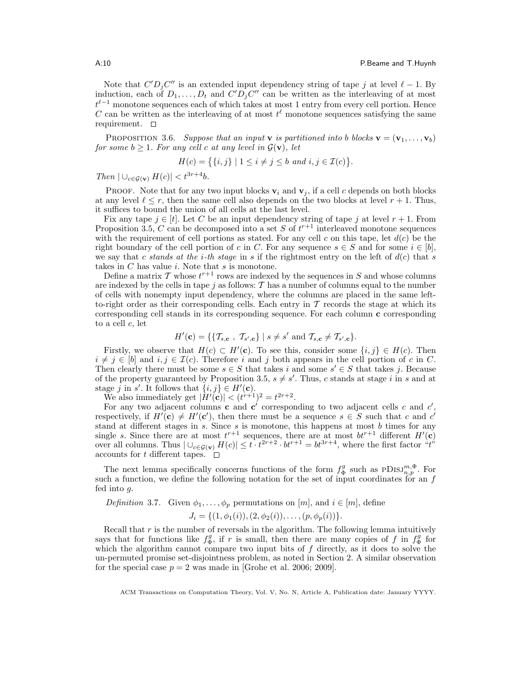Note that  $C'D_jC''$  is an extended input dependency string of tape j at level  $\ell - 1$ . By induction, each of  $D_1, \ldots, D_t$  and  $C'D_jC''$  can be written as the interleaving of at most  $t^{\ell-1}$  monotone sequences each of which takes at most 1 entry from every cell portion. Hence C can be written as the interleaving of at most  $t^{\ell}$  monotone sequences satisfying the same requirement.  $\square$ 

PROPOSITION 3.6. Suppose that an input **v** is partitioned into b blocks **v** =  $(\mathbf{v}_1, \dots, \mathbf{v}_b)$ for some  $b \geq 1$ . For any cell c at any level in  $\mathcal{G}(v)$ , let

$$
H(c) = \{ \{i, j\} \mid 1 \le i \ne j \le b \text{ and } i, j \in \mathcal{I}(c) \}.
$$

Then  $| \bigcup_{c \in \mathcal{G}(\mathbf{v})} H(c) | < t^{3r+4}b$ .

**PROOF.** Note that for any two input blocks  $\mathbf{v}_i$  and  $\mathbf{v}_j$ , if a cell c depends on both blocks at any level  $\ell \leq r$ , then the same cell also depends on the two blocks at level  $r + 1$ . Thus, it suffices to bound the union of all cells at the last level.

Fix any tape  $j \in [t]$ . Let C be an input dependency string of tape j at level  $r + 1$ . From Proposition 3.5, C can be decomposed into a set S of  $t^{r+1}$  interleaved monotone sequences with the requirement of cell portions as stated. For any cell c on this tape, let  $d(c)$  be the right boundary of the cell portion of c in C. For any sequence  $s \in S$  and for some  $i \in [b]$ , we say that c stands at the i-th stage in s if the rightmost entry on the left of  $d(c)$  that s takes in  $C$  has value  $i$ . Note that  $s$  is monotone.

Define a matrix  $T$  whose  $t^{r+1}$  rows are indexed by the sequences in S and whose columns are indexed by the cells in tape j as follows:  $\mathcal T$  has a number of columns equal to the number of cells with nonempty input dependency, where the columns are placed in the same leftto-right order as their corresponding cells. Each entry in  $\mathcal T$  records the stage at which its corresponding cell stands in its corresponding sequence. For each column c corresponding to a cell c, let

$$
H'(\mathbf{c}) = \{ \{ \mathcal{T}_{s,\mathbf{c}}, \ \mathcal{T}_{s',\mathbf{c}} \} \mid s \neq s' \text{ and } \mathcal{T}_{s,\mathbf{c}} \neq \mathcal{T}_{s',\mathbf{c}} \}.
$$

Firstly, we observe that  $H(c) \subset H'(\mathbf{c})$ . To see this, consider some  $\{i, j\} \in H(c)$ . Then  $i \neq j \in [b]$  and  $i, j \in \mathcal{I}(c)$ . Therefore i and j both appears in the cell portion of c in C. Then clearly there must be some  $s \in S$  that takes i and some  $s' \in S$  that takes j. Because of the property guaranteed by Proposition 3.5,  $s \neq s'$ . Thus, c stands at stage i in s and at stage j in s'. It follows that  $\{i, j\} \in H'(\mathbf{c})$ .

We also immediately get  $|\tilde{H}'(\mathbf{c})| < (t^{r+1})^2 = t^{2r+2}$ .

For any two adjacent columns **c** and **c**<sup> $\prime$ </sup> corresponding to two adjacent cells c and c<sup> $\prime$ </sup>, respectively, if  $H'(\mathbf{c}) \neq H'(\mathbf{c}')$ , then there must be a sequence  $s \in S$  such that c and c' stand at different stages in s. Since s is monotone, this happens at most  $b$  times for any single s. Since there are at most  $t^{r+1}$  sequences, there are at most  $bt^{r+1}$  different  $H'(\mathbf{c})$ over all columns. Thus  $|\bigcup_{c\in\mathcal{G}(\mathbf{v})}H(c)|\leq t\cdot t^{2r+2}\cdot bt^{r+1}=bt^{3r+4}$ , where the first factor "t" accounts for t different tapes.

The next lemma specifically concerns functions of the form  $f_{\Phi}^g$  such as  $PDISJ_{n,p}^{m,\Phi}$ . For such a function, we define the following notation for the set of input coordinates for an  $f$ fed into g.

Definition 3.7. Given  $\phi_1, \ldots, \phi_p$  permutations on  $[m]$ , and  $i \in [m]$ , define

$$
J_i = \{ (1, \phi_1(i)), (2, \phi_2(i)), \dots, (p, \phi_p(i)) \}.
$$

Recall that  $r$  is the number of reversals in the algorithm. The following lemma intuitively says that for functions like  $f_{\Phi}^g$ , if r is small, then there are many copies of f in  $f_{\Phi}^g$  for which the algorithm cannot compare two input bits of  $f$  directly, as it does to solve the un-permuted promise set-disjointness problem, as noted in Section 2. A similar observation for the special case  $p = 2$  was made in [Grohe et al. 2006; 2009].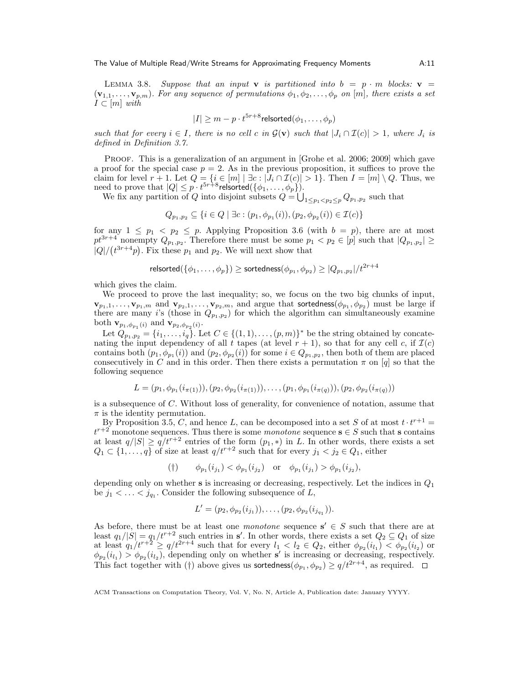LEMMA 3.8. Suppose that an input **v** is partitioned into  $b = p \cdot m$  blocks: **v** =  $(v_{1,1},..., v_{p,m})$ . For any sequence of permutations  $\phi_1, \phi_2,..., \phi_p$  on [m], there exists a set  $I \subset [m]$  with

$$
|I| \ge m - p \cdot t^{5r + 8} \text{relsorted}(\phi_1, \dots, \phi_p)
$$

such that for every  $i \in I$ , there is no cell c in  $\mathcal{G}(v)$  such that  $|J_i \cap \mathcal{I}(c)| > 1$ , where  $J_i$  is defined in Definition 3.7.

PROOF. This is a generalization of an argument in [Grohe et al. 2006; 2009] which gave a proof for the special case  $p = 2$ . As in the previous proposition, it suffices to prove the claim for level  $r + 1$ . Let  $Q = \{i \in [m] \mid \exists c : |J_i \cap \mathcal{I}(c)| > 1\}$ . Then  $I = [m] \setminus Q$ . Thus, we need to prove that  $|Q| \leq p \cdot t^{5r+8}$ relsorted $(\{\phi_1, \ldots, \phi_p\})$ .

We fix any partition of Q into disjoint subsets  $Q = \bigcup_{1 \leq p_1 < p_2 \leq p} Q_{p_1, p_2}$  such that

$$
Q_{p_1,p_2} \subseteq \{ i \in Q \mid \exists c : (p_1,\phi_{p_1}(i)), (p_2,\phi_{p_2}(i)) \in \mathcal{I}(c) \}
$$

for any  $1 \leq p_1 < p_2 \leq p$ . Applying Proposition 3.6 (with  $b = p$ ), there are at most  $pt^{3r+4}$  nonempty  $Q_{p_1,p_2}$ . Therefore there must be some  $p_1 < p_2 \in [p]$  such that  $|Q_{p_1,p_2}| \ge$  $|Q|/(t^{3r+4}p)$ . Fix these  $p_1$  and  $p_2$ . We will next show that

$$
\mathsf{relsorted}(\{\phi_1,\ldots,\phi_p\}) \geq \mathsf{sortedness}(\phi_{p_1},\phi_{p_2}) \geq |Q_{p_1,p_2}|/t^{2r+4}
$$

which gives the claim.

We proceed to prove the last inequality; so, we focus on the two big chunks of input,  $\mathbf{v}_{p_1,1},\ldots,\mathbf{v}_{p_1,m}$  and  $\mathbf{v}_{p_2,1},\ldots,\mathbf{v}_{p_2,m}$ , and argue that sortedness $(\phi_{p_1},\phi_{p_2})$  must be large if there are many *i*'s (those in  $Q_{p_1,p_2}$ ) for which the algorithm can simultaneously examine both  $\mathbf{v}_{p_1,\phi_{p_1}(i)}$  and  $\mathbf{v}_{p_2,\phi_{p_2}(i)}$ .

Let  $Q_{p_1,p_2} = \{i_1,\ldots,i_q\}$ . Let  $C \in \{(1,1),\ldots,(p,m)\}^*$  be the string obtained by concatenating the input dependency of all t tapes (at level  $r + 1$ ), so that for any cell c, if  $\mathcal{I}(c)$ contains both  $(p_1, \phi_{p_1}(i))$  and  $(p_2, \phi_{p_2}(i))$  for some  $i \in Q_{p_1, p_2}$ , then both of them are placed consecutively in C and in this order. Then there exists a permutation  $\pi$  on [q] so that the following sequence

$$
L = (p_1, \phi_{p_1}(i_{\pi(1)})), (p_2, \phi_{p_2}(i_{\pi(1)})), \dots, (p_1, \phi_{p_1}(i_{\pi(q)})), (p_2, \phi_{p_2}(i_{\pi(q)}))
$$

is a subsequence of C. Without loss of generality, for convenience of notation, assume that  $\pi$  is the identity permutation.

By Proposition 3.5, C, and hence L, can be decomposed into a set S of at most  $t \cdot t^{r+1} =$  $t^{r+2}$  monotone sequences. Thus there is some monotone sequence  $s \in S$  such that s contains at least  $q/|S| \ge q/t^{r+2}$  entries of the form  $(p_1,*)$  in L. In other words, there exists a set  $Q_1 \subset \{1, \ldots, q\}$  of size at least  $q/t^{r+2}$  such that for every  $j_1 < j_2 \in Q_1$ , either

(†)  $\phi_{p_1}(i_{j_1}) < \phi_{p_1}(i_{j_2})$  or  $\phi_{p_1}(i_{j_1}) > \phi_{p_1}(i_{j_2}),$ 

depending only on whether  $s$  is increasing or decreasing, respectively. Let the indices in  $Q_1$ be  $j_1 < \ldots < j_{q_1}$ . Consider the following subsequence of L,

$$
L' = (p_2, \phi_{p_2}(i_{j_1})), \ldots, (p_2, \phi_{p_2}(i_{j_{q_1}})).
$$

As before, there must be at least one *monotone* sequence  $s' \in S$  such that there are at least  $q_1/|S| = q_1/t^{r+2}$  such entries in s'. In other words, there exists a set  $Q_2 \subseteq Q_1$  of size at least  $q_1/t^{r+2} \ge q/t^{2r+4}$  such that for every  $l_1 < l_2 \in Q_2$ , either  $\phi_{p_2}(i_{l_1}) < \phi_{p_2}(i_{l_2})$  or  $\phi_{p_2}(i_1) > \phi_{p_2}(i_2)$ , depending only on whether s' is increasing or decreasing, respectively. This fact together with (†) above gives us sortedness $(\phi_{p_1}, \phi_{p_2}) \ge q/t^{2r+4}$ , as required.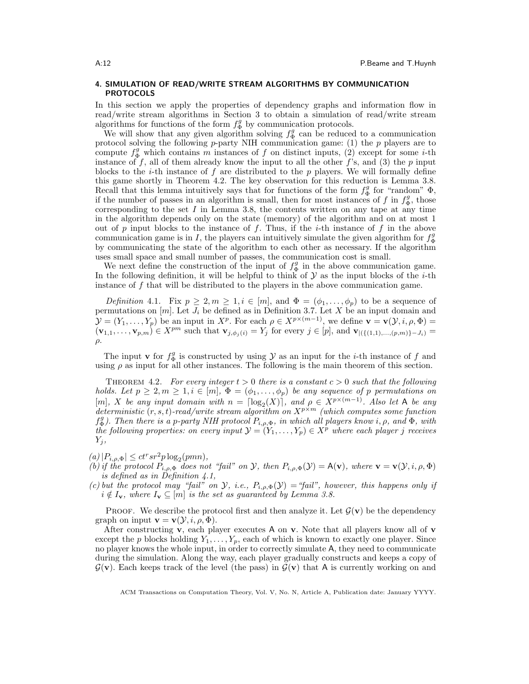# 4. SIMULATION OF READ/WRITE STREAM ALGORITHMS BY COMMUNICATION PROTOCOLS

In this section we apply the properties of dependency graphs and information flow in read/write stream algorithms in Section 3 to obtain a simulation of read/write stream algorithms for functions of the form  $f_{\Phi}^g$  by communication protocols.

We will show that any given algorithm solving  $f_{\Phi}^g$  can be reduced to a communication protocol solving the following  $p$ -party NIH communication game: (1) the  $p$  players are to compute  $f_{\Phi}^g$  which contains m instances of f on distinct inputs, (2) except for some *i*-th instance of f, all of them already know the input to all the other f's, and (3) the p input blocks to the *i*-th instance of f are distributed to the  $p$  players. We will formally define this game shortly in Theorem 4.2. The key observation for this reduction is Lemma 3.8. Recall that this lemma intuitively says that for functions of the form  $f_{\Phi}^g$  for "random"  $\Phi$ , if the number of passes in an algorithm is small, then for most instances of f in  $f_{\Phi}^g$ , those corresponding to the set  $I$  in Lemma 3.8, the contents written on any tape at any time in the algorithm depends only on the state (memory) of the algorithm and on at most 1 out of p input blocks to the instance of f. Thus, if the *i*-th instance of f in the above communication game is in I, the players can intuitively simulate the given algorithm for  $f_{\Phi}^g$ by communicating the state of the algorithm to each other as necessary. If the algorithm uses small space and small number of passes, the communication cost is small.

We next define the construction of the input of  $f_{\Phi}^g$  in the above communication game. In the following definition, it will be helpful to think of  $\mathcal Y$  as the input blocks of the *i*-th instance of  $f$  that will be distributed to the players in the above communication game.

Definition 4.1. Fix  $p \geq 2, m \geq 1, i \in [m]$ , and  $\Phi = (\phi_1, \ldots, \phi_p)$  to be a sequence of permutations on  $[m]$ . Let  $J_i$  be defined as in Definition 3.7. Let X be an input domain and  $\mathcal{Y} = (Y_1, \ldots, Y_p)$  be an input in  $X^p$ . For each  $\rho \in X^{p \times (m-1)}$ , we define  $\mathbf{v} = \mathbf{v}(\mathcal{Y}, i, \rho, \Phi) =$  $(v_{1,1},...,v_{p,m}) \in X^{pm}$  such that  $v_{j,\phi_j(i)} = Y_j$  for every  $j \in [p]$ , and  $v_{|\{(1,1),...,(p,m)\}-J_i)} =$  $\rho$ .

The input **v** for  $f_{\Phi}^g$  is constructed by using  $\mathcal Y$  as an input for the *i*-th instance of f and using  $\rho$  as input for all other instances. The following is the main theorem of this section.

THEOREM 4.2. For every integer  $t > 0$  there is a constant  $c > 0$  such that the following holds. Let  $p \geq 2, m \geq 1, i \in [m], \Phi = (\phi_1, \ldots, \phi_p)$  be any sequence of p permutations on [m], X be any input domain with  $n = \lceil \log_2(X) \rceil$ , and  $\rho \in X^{p \times (m-1)}$ . Also let A be any deterministic  $(r, s, t)$ -read/write stream algorithm on  $X^{p \times m}$  (which computes some function  $f_{\Phi}^g$ ). Then there is a p-party NIH protocol  $P_{i,\rho,\Phi}$ , in which all players know i,  $\rho$ , and  $\Phi$ , with the following properties: on every input  $\mathcal{Y} = (Y_1, \ldots, Y_p) \in X^p$  where each player j receives  $Y_i$ ,

- $(a) |P_{i,\rho,\Phi}| \leq ct^r s r^2 p \log_2(pmn),$
- (b) if the protocol  $P_{i,\rho,\Phi}$  does not "fail" on Y, then  $P_{i,\rho,\Phi}(\mathcal{Y}) = A(\mathbf{v})$ , where  $\mathbf{v} = \mathbf{v}(\mathcal{Y},i,\rho,\Phi)$ is defined as in Definition 4.1,
- (c) but the protocol may "fail" on  $\mathcal{Y}$ , i.e.,  $P_{i,\rho,\Phi}(\mathcal{Y}) =$  "fail", however, this happens only if  $i \notin I_{\mathbf{v}},$  where  $I_{\mathbf{v}} \subseteq [m]$  is the set as guaranteed by Lemma 3.8.

**PROOF.** We describe the protocol first and then analyze it. Let  $\mathcal{G}(v)$  be the dependency graph on input  $\mathbf{v} = \mathbf{v}(\mathcal{Y}, i, \rho, \Phi)$ .

After constructing  $\bf{v}$ , each player executes A on  $\bf{v}$ . Note that all players know all of  $\bf{v}$ except the p blocks holding  $Y_1, \ldots, Y_p$ , each of which is known to exactly one player. Since no player knows the whole input, in order to correctly simulate A, they need to communicate during the simulation. Along the way, each player gradually constructs and keeps a copy of  $\mathcal{G}(v)$ . Each keeps track of the level (the pass) in  $\mathcal{G}(v)$  that A is currently working on and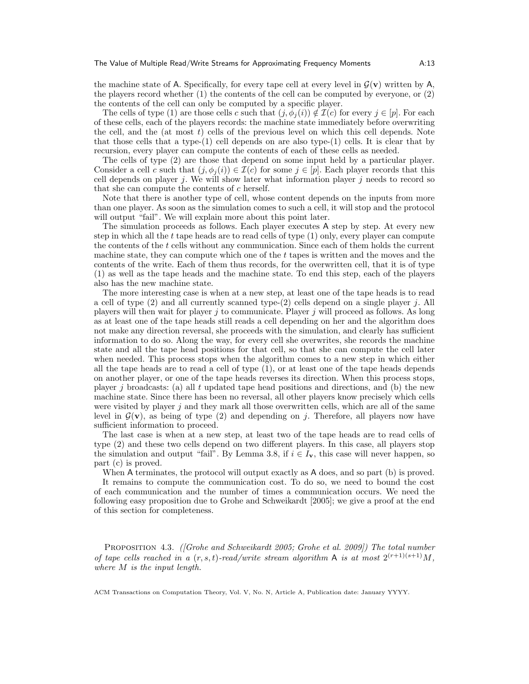the machine state of A. Specifically, for every tape cell at every level in  $\mathcal{G}(v)$  written by A, the players record whether (1) the contents of the cell can be computed by everyone, or (2) the contents of the cell can only be computed by a specific player.

The cells of type (1) are those cells c such that  $(j, \phi_i(i)) \notin \mathcal{I}(c)$  for every  $j \in [p]$ . For each of these cells, each of the players records: the machine state immediately before overwriting the cell, and the (at most  $t$ ) cells of the previous level on which this cell depends. Note that those cells that a type- $(1)$  cell depends on are also type- $(1)$  cells. It is clear that by recursion, every player can compute the contents of each of these cells as needed.

The cells of type (2) are those that depend on some input held by a particular player. Consider a cell c such that  $(j, \phi_i(i)) \in \mathcal{I}(c)$  for some  $j \in [p]$ . Each player records that this cell depends on player j. We will show later what information player j needs to record so that she can compute the contents of c herself.

Note that there is another type of cell, whose content depends on the inputs from more than one player. As soon as the simulation comes to such a cell, it will stop and the protocol will output "fail". We will explain more about this point later.

The simulation proceeds as follows. Each player executes A step by step. At every new step in which all the  $t$  tape heads are to read cells of type  $(1)$  only, every player can compute the contents of the t cells without any communication. Since each of them holds the current machine state, they can compute which one of the t tapes is written and the moves and the contents of the write. Each of them thus records, for the overwritten cell, that it is of type (1) as well as the tape heads and the machine state. To end this step, each of the players also has the new machine state.

The more interesting case is when at a new step, at least one of the tape heads is to read a cell of type (2) and all currently scanned type-(2) cells depend on a single player j. All players will then wait for player  $j$  to communicate. Player  $j$  will proceed as follows. As long as at least one of the tape heads still reads a cell depending on her and the algorithm does not make any direction reversal, she proceeds with the simulation, and clearly has sufficient information to do so. Along the way, for every cell she overwrites, she records the machine state and all the tape head positions for that cell, so that she can compute the cell later when needed. This process stops when the algorithm comes to a new step in which either all the tape heads are to read a cell of type (1), or at least one of the tape heads depends on another player, or one of the tape heads reverses its direction. When this process stops, player j broadcasts: (a) all t updated tape head positions and directions, and (b) the new machine state. Since there has been no reversal, all other players know precisely which cells were visited by player  $j$  and they mark all those overwritten cells, which are all of the same level in  $\mathcal{G}(v)$ , as being of type (2) and depending on j. Therefore, all players now have sufficient information to proceed.

The last case is when at a new step, at least two of the tape heads are to read cells of type (2) and these two cells depend on two different players. In this case, all players stop the simulation and output "fail". By Lemma 3.8, if  $i \in I_{v}$ , this case will never happen, so part (c) is proved.

When A terminates, the protocol will output exactly as A does, and so part (b) is proved.

It remains to compute the communication cost. To do so, we need to bound the cost of each communication and the number of times a communication occurs. We need the following easy proposition due to Grohe and Schweikardt [2005]; we give a proof at the end of this section for completeness.

Proposition 4.3. ([Grohe and Schweikardt 2005; Grohe et al. 2009]) The total number of tape cells reached in a  $(r, s, t)$ -read/write stream algorithm A is at most  $2^{(r+1)(s+1)}M$ , where M is the input length.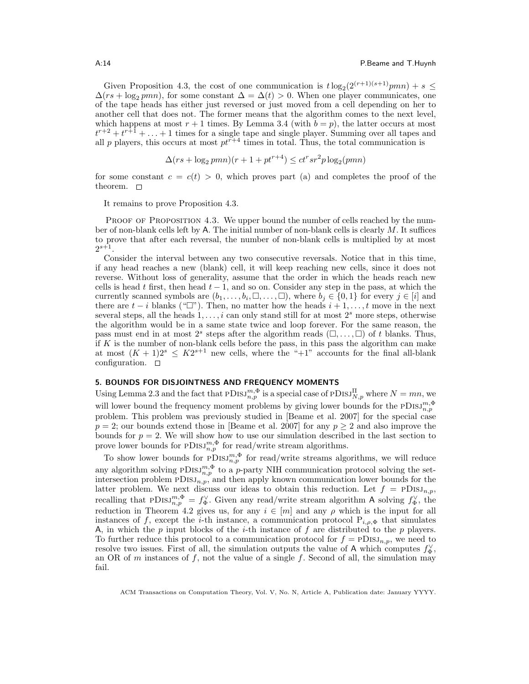Given Proposition 4.3, the cost of one communication is  $t \log_2(2^{(r+1)(s+1)} pmn) + s \leq$  $\Delta(rs + \log_2{pmn})$ , for some constant  $\Delta = \Delta(t) > 0$ . When one player communicates, one of the tape heads has either just reversed or just moved from a cell depending on her to another cell that does not. The former means that the algorithm comes to the next level, which happens at most  $r + 1$  times. By Lemma 3.4 (with  $b = p$ ), the latter occurs at most  $t^{r+2} + t^{r+1} + \ldots + 1$  times for a single tape and single player. Summing over all tapes and all p players, this occurs at most  $pt^{\tilde{r}+4}$  times in total. Thus, the total communication is

$$
\Delta(rs + \log_2 pmn)(r + 1 + pt^{r+4}) \le ct^r s r^2 p \log_2 (pmn)
$$

for some constant  $c = c(t) > 0$ , which proves part (a) and completes the proof of the theorem.  $\square$ 

It remains to prove Proposition 4.3.

PROOF OF PROPOSITION 4.3. We upper bound the number of cells reached by the number of non-blank cells left by A. The initial number of non-blank cells is clearly M. It suffices to prove that after each reversal, the number of non-blank cells is multiplied by at most  $2^{s+1}$ .

Consider the interval between any two consecutive reversals. Notice that in this time, if any head reaches a new (blank) cell, it will keep reaching new cells, since it does not reverse. Without loss of generality, assume that the order in which the heads reach new cells is head t first, then head  $t - 1$ , and so on. Consider any step in the pass, at which the currently scanned symbols are  $(b_1, \ldots, b_i, \square, \ldots, \square)$ , where  $b_j \in \{0, 1\}$  for every  $j \in [i]$  and there are  $t - i$  blanks (" $\Box$ "). Then, no matter how the heads  $i + 1, \ldots, t$  move in the next several steps, all the heads  $1, \ldots, i$  can only stand still for at most  $2<sup>s</sup>$  more steps, otherwise the algorithm would be in a same state twice and loop forever. For the same reason, the pass must end in at most  $2^s$  steps after the algorithm reads  $(\square, \dots, \square)$  of t blanks. Thus, if K is the number of non-blank cells before the pass, in this pass the algorithm can make at most  $(K + 1)2^s \leq K2^{s+1}$  new cells, where the "+1" accounts for the final all-blank configuration.  $\square$ 

## 5. BOUNDS FOR DISJOINTNESS AND FREQUENCY MOMENTS

Using Lemma 2.3 and the fact that  $PDISJ_{n,p}^{m,\Phi}$  is a special case of  $PDISJ_{N,p}^{\Pi}$  where  $N = mn$ , we will lower bound the frequency moment problems by giving lower bounds for the  $PDISJ_{n,p}^{m,\Phi}$ problem. This problem was previously studied in [Beame et al. 2007] for the special case  $p = 2$ ; our bounds extend those in [Beame et al. 2007] for any  $p \ge 2$  and also improve the bounds for  $p = 2$ . We will show how to use our simulation described in the last section to prove lower bounds for  $\text{pDiss}_{n,p}^{m,\Phi}$  for read/write stream algorithms.

To show lower bounds for  $PDISJ_{n,p}^{m,\Phi}$  for read/write streams algorithms, we will reduce any algorithm solving  $PDISJ_{n,p}^{m,\Phi}$  to a p-party NIH communication protocol solving the setintersection problem  $\text{PDis}_{n,p}$ , and then apply known communication lower bounds for the latter problem. We next discuss our ideas to obtain this reduction. Let  $f = \text{PDisJ}_{n,p}$ , recalling that  $PDISJ_{n,p}^{m,\Phi} = f_{\Phi}^{\vee}$ . Given any read/write stream algorithm A solving  $f_{\Phi}^{\vee}$ , the reduction in Theorem 4.2 gives us, for any  $i \in [m]$  and any  $\rho$  which is the input for all instances of f, except the *i*-th instance, a communication protocol  $P_{i,\rho,\Phi}$  that simulates A, in which the  $p$  input blocks of the *i*-th instance of  $f$  are distributed to the  $p$  players. To further reduce this protocol to a communication protocol for  $f = PDSJ_{n,p}$ , we need to resolve two issues. First of all, the simulation outputs the value of A which computes  $f_{\Phi}^{\vee}$ , an OR of m instances of f, not the value of a single f. Second of all, the simulation may fail.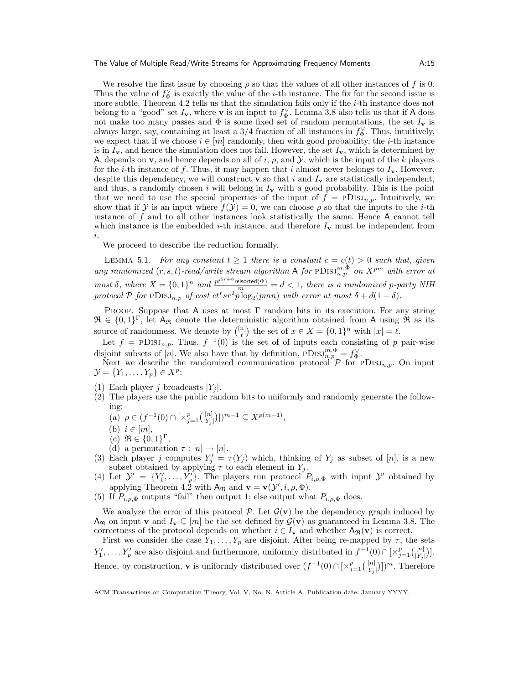We resolve the first issue by choosing  $\rho$  so that the values of all other instances of f is 0. Thus the value of  $f_{\Phi}^{\vee}$  is exactly the value of the *i*-th instance. The fix for the second issue is more subtle. Theorem 4.2 tells us that the simulation fails only if the i-th instance does not belong to a "good" set  $I_v$ , where v is an input to  $f_{\Phi}^{\vee}$ . Lemma 3.8 also tells us that if A does not make too many passes and  $\Phi$  is some fixed set of random permutations, the set  $I_{\mathbf{v}}$  is always large, say, containing at least a  $3/4$  fraction of all instances in  $f_{\Phi}^{\vee}$ . Thus, intuitively, we expect that if we choose  $i \in [m]$  randomly, then with good probability, the *i*-th instance is in  $I_{\mathbf{v}}$ , and hence the simulation does not fail. However, the set  $I_{\mathbf{v}}$ , which is determined by A, depends on **v**, and hence depends on all of i,  $\rho$ , and  $\mathcal{Y}$ , which is the input of the k players for the *i*-th instance of f. Thus, it may happen that *i* almost never belongs to  $I_v$ . However, despite this dependency, we will construct  $\bf{v}$  so that i and  $I_{\bf{v}}$  are statistically independent, and thus, a randomly chosen i will belong in  $I_{\mathbf{v}}$  with a good probability. This is the point that we need to use the special properties of the input of  $f = \text{PDisJ}_{n,p}$ . Intuitively, we show that if  $\mathcal Y$  is an input where  $f(\mathcal Y)=0$ , we can choose  $\rho$  so that the inputs to the *i*-th instance of f and to all other instances look statistically the same. Hence A cannot tell which instance is the embedded *i*-th instance, and therefore  $I_v$  must be independent from i.

We proceed to describe the reduction formally.

LEMMA 5.1. For any constant  $t \geq 1$  there is a constant  $c = c(t) > 0$  such that, given any randomized  $(r, s, t)$ -read/write stream algorithm A for  $PDISJ^{m, \Phi}_{n,p}$  on  $X^{pm}$  with error at most  $\delta$ , where  $X = \{0,1\}^n$  and  $\frac{pt^{5r+8}$ relsorted( $\Phi$ ) = d < 1, there is a randomized p-party NIH protocol  $P$  for  $PDISJ_{n,p}$  of cost  $ct^r s r^2 p \log_2(pmn)$  with error at most  $\delta + d(1-\delta)$ .

Proof. Suppose that A uses at most Γ random bits in its execution. For any string  $\mathfrak{R} \in \{0,1\}^{\Gamma}$ , let  $A_{\mathfrak{R}}$  denote the deterministic algorithm obtained from A using  $\mathfrak{R}$  as its source of randomness. We denote by  $\binom{[n]}{\ell}$  the set of  $x \in X = \{0,1\}^n$  with  $|x| = \ell$ .

Let  $f = \text{PDisJ}_{n,p}$ . Thus,  $f^{-1}(0)$  is the set of of inputs each consisting of p pair-wise disjoint subsets of [n]. We also have that by definition,  $PDISJ^{m,\Phi}_{n,p} = f^{\vee}_{\Phi}$ .

Next we describe the randomized communication protocol  $\mathcal{P}$  for PDISJ<sub>n,p</sub>. On input  $\mathcal{Y} = \{Y_1, \ldots, Y_p\} \in X^p$ :

- (1) Each player *i* broadcasts  $|Y_i|$ .
- (2) The players use the public random bits to uniformly and randomly generate the following:
	- (a)  $\rho \in (f^{-1}(0) \cap [ \times_{j=1}^p \binom{[n]}{Y_j}]$  $\binom{[n]}{[Y_j]}$ ] $)^{m-1} \subseteq X^{p(m-1)}$ ,
	- (b)  $i \in [m],$
	- (c)  $\mathfrak{R} \in \{0,1\}^{\Gamma}$ ,
	- (d) a permutation  $\tau : [n] \rightarrow [n]$ .
- (3) Each player j computes  $Y'_j = \tau(Y_j)$  which, thinking of  $Y_j$  as subset of [n], is a new subset obtained by applying  $\tau$  to each element in  $Y_j$ .
- (4) Let  $\mathcal{Y}' = \{Y'_1, \ldots, Y'_p\}$ . The players run protocol  $P_{i,\rho,\Phi}$  with input  $\mathcal{Y}'$  obtained by applying Theorem 4.2 with  $A_{\Re}$  and  $\mathbf{v} = \mathbf{v}(\mathcal{Y}', i, \rho, \Phi)$ .
- (5) If  $P_{i,\rho,\Phi}$  outputs "fail" then output 1; else output what  $P_{i,\rho,\Phi}$  does.

We analyze the error of this protocol  $P$ . Let  $\mathcal{G}(v)$  be the dependency graph induced by  $A_{\mathfrak{R}}$  on input **v** and  $I_{\mathbf{v}} \subseteq [m]$  be the set defined by  $\mathcal{G}(\mathbf{v})$  as guaranteed in Lemma 3.8. The correctness of the protocol depends on whether  $i \in I_{\mathbf{v}}$  and whether  $A_{\Re}(\mathbf{v})$  is correct.

First we consider the case  $Y_1, \ldots, Y_p$  are disjoint. After being re-mapped by  $\tau$ , the sets  $Y'_1, \ldots, Y'_p$  are also disjoint and furthermore, uniformly distributed in  $f^{-1}(0) \cap [ \times_{j=1}^p {[n] \choose |Y_j|}]$  $\binom{[n]}{Y_j}$ . Hence, by construction, **v** is uniformly distributed over  $(f^{-1}(0) \cap [\times_{j=1}^p (p_j^{\{n\}})]$  $\frac{\binom{[n]}{[Y_j]} }{\binom{[Y_j]}{[Y_j]}}$ . Therefore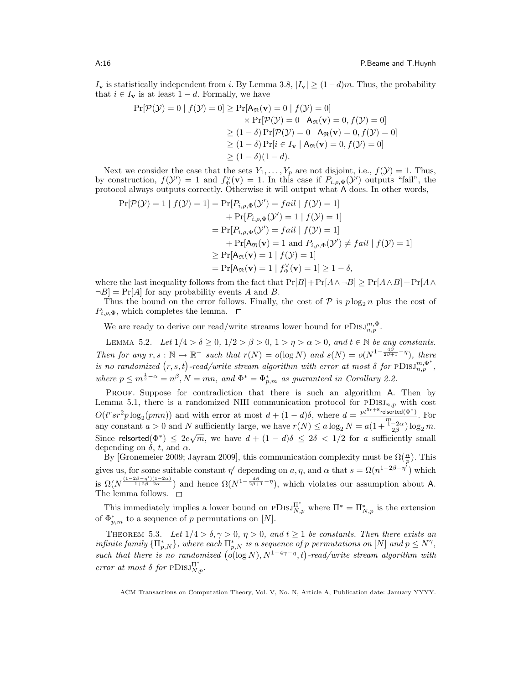$I_{\mathbf{v}}$  is statistically independent from i. By Lemma 3.8,  $|I_{\mathbf{v}}| \ge (1-d)m$ . Thus, the probability that  $i \in I_{\mathbf{v}}$  is at least  $1 - d$ . Formally, we have

$$
\Pr[\mathcal{P}(\mathcal{Y}) = 0 | f(\mathcal{Y}) = 0] \ge \Pr[\mathbf{A}_{\Re}(\mathbf{v}) = 0 | f(\mathcal{Y}) = 0]
$$
  
\$\times \Pr[\mathcal{P}(\mathcal{Y}) = 0 | \mathbf{A}\_{\Re}(\mathbf{v}) = 0, f(\mathcal{Y}) = 0] \$  
\$\ge (1 - \delta) \Pr[\mathcal{P}(\mathcal{Y}) = 0 | \mathbf{A}\_{\Re}(\mathbf{v}) = 0, f(\mathcal{Y}) = 0] \$  
\$\ge (1 - \delta) \Pr[i \in I\_{\mathbf{v}} | \mathbf{A}\_{\Re}(\mathbf{v}) = 0, f(\mathcal{Y}) = 0] \$  
\$\ge (1 - \delta)(1 - d).\$

Next we consider the case that the sets  $Y_1, \ldots, Y_p$  are not disjoint, i.e.,  $f(\mathcal{Y}) = 1$ . Thus, by construction,  $f(\mathcal{Y}') = 1$  and  $f_{\Phi}^{\vee}(\mathbf{v}) = 1$ . In this case if  $P_{i,\rho,\Phi}(\mathcal{Y}')$  outputs "fail", the protocol always outputs correctly. Otherwise it will output what A does. In other words,

$$
\Pr[\mathcal{P}(\mathcal{Y}) = 1 | f(\mathcal{Y}) = 1] = \Pr[P_{i,\rho,\Phi}(\mathcal{Y}') = fail | f(\mathcal{Y}) = 1] \n+ \Pr[P_{i,\rho,\Phi}(\mathcal{Y}') = 1 | f(\mathcal{Y}) = 1] \n= \Pr[P_{i,\rho,\Phi}(\mathcal{Y}') = fail | f(\mathcal{Y}) = 1] \n+ \Pr[\mathsf{A}_{\Re}(\mathbf{v}) = 1 \text{ and } P_{i,\rho,\Phi}(\mathcal{Y}') \neq fail | f(\mathcal{Y}) = 1] \n\geq \Pr[\mathsf{A}_{\Re}(\mathbf{v}) = 1 | f(\mathcal{Y}) = 1] \n= \Pr[\mathsf{A}_{\Re}(\mathbf{v}) = 1 | f_{\Phi}^{\vee}(\mathbf{v}) = 1] \geq 1 - \delta,
$$

where the last inequality follows from the fact that  $Pr[B] + Pr[A \wedge \neg B] \geq Pr[A \wedge B] + Pr[A \wedge \neg B]$  $\neg B$  = Pr[A] for any probability events A and B.

Thus the bound on the error follows. Finally, the cost of  $P$  is  $p \log_2 n$  plus the cost of  $P_{i,\rho,\Phi}$ , which completes the lemma.  $\square$ 

We are ready to derive our read/write streams lower bound for  $PDISJ_{n,p}^{m,\Phi}$ .

LEMMA 5.2. Let  $1/4 > \delta \geq 0$ ,  $1/2 > \beta > 0$ ,  $1 > \eta > \alpha > 0$ , and  $t \in \mathbb{N}$  be any constants. Then for any  $r, s : \mathbb{N} \to \mathbb{R}^+$  such that  $r(N) = o(\log N)$  and  $s(N) = o(N^{1-\frac{4\beta}{2\beta+1} - \eta})$ , there is no randomized  $(r, s, t)$ -read/write stream algorithm with error at most  $\delta$  for  $PDISJ_{n,p}^{m,\Phi^*}$ , where  $p \leq m^{\frac{1}{2}-\alpha} = n^{\beta}, N = mn$ , and  $\Phi^* = \Phi^*_{p,m}$  as guaranteed in Corollary 2.2.

PROOF. Suppose for contradiction that there is such an algorithm A. Then by Lemma 5.1, there is a randomized NIH communication protocol for  $PDISJ_{n,p}$  with cost  $O(t^r s r^2 p \log_2(pmn))$  and with error at most  $d + (1-d)\delta$ , where  $d = \frac{pt^{5r+8}$ relsorted( $\Phi^*$ ). For any constant  $a > 0$  and N sufficiently large, we have  $r(N) \le a \log_2 N = a(1 + \frac{1-2\alpha}{2\beta}) \log_2 m$ . Since relsorted $(\Phi^*) \leq 2e\sqrt{m}$ , we have  $d + (1 - d)\delta \leq 2\delta < 1/2$  for a sufficiently small depending on  $\delta$ , t, and  $\alpha$ .

By [Gronemeier 2009; Jayram 2009], this communication complexity must be  $\Omega(\frac{n}{p})$ . This gives us, for some suitable constant  $\eta'$  depending on  $a, \eta$ , and  $\alpha$  that  $s = \Omega(n^{1-2\beta-\eta'})$  which is  $\Omega(N^{\frac{(1-2\beta-\eta')(1-2\alpha)}{1+2\beta-2\alpha}})$  and hence  $\Omega(N^{1-\frac{4\beta}{2\beta+1}-\eta})$ , which violates our assumption about A. The lemma follows.  $\square$ 

This immediately implies a lower bound on  $PDISJ_{N,p}^{\Pi^*}$  where  $\Pi^* = \Pi^*_{N,p}$  is the extension of  $\Phi_{p,m}^*$  to a sequence of p permutations on [N].

THEOREM 5.3. Let  $1/4 > \delta, \gamma > 0, \eta > 0$ , and  $t \ge 1$  be constants. Then there exists an infinite family  $\{\Pi_{p,N}^*\}$ , where each  $\Pi_{p,N}^*$  is a sequence of p permutations on  $[N]$  and  $p \leq N^{\gamma}$ , such that there is no randomized  $(o(\log N), N^{1-4\gamma-\eta}, t)$ -read/write stream algorithm with error at most  $\delta$  for  $\text{pDisJ}_{N,p}^{\Pi^*}$ .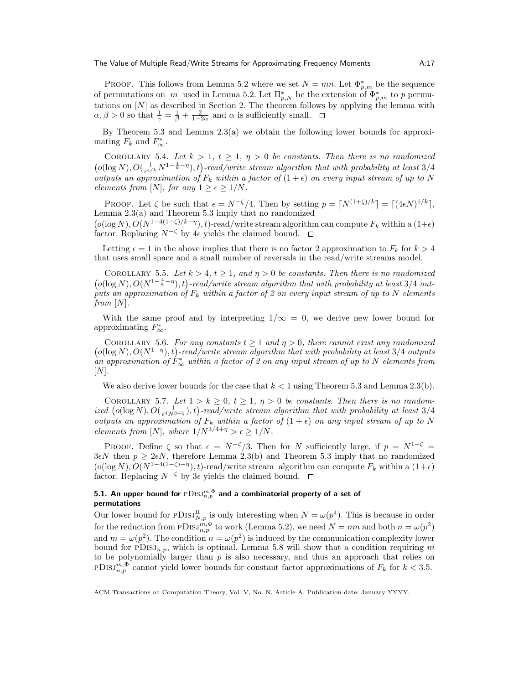PROOF. This follows from Lemma 5.2 where we set  $N = mn$ . Let  $\Phi_{p,m}^*$  be the sequence of permutations on  $[m]$  used in Lemma 5.2. Let  $\prod_{p,N}^*$  be the extension of  $\Phi_{p,m}^*$  to p permutations on  $[N]$  as described in Section 2. The theorem follows by applying the lemma with  $\alpha, \beta > 0$  so that  $\frac{1}{\gamma} = \frac{1}{\beta} + \frac{2}{1-2\alpha}$  and  $\alpha$  is sufficiently small.

By Theorem 5.3 and Lemma  $2.3(a)$  we obtain the following lower bounds for approximating  $F_k$  and  $F^*_{\infty}$ .

COROLLARY 5.4. Let  $k > 1$ ,  $t \geq 1$ ,  $\eta > 0$  be constants. Then there is no randomized  $(o(\log N), O(\frac{1}{\epsilon^{4/k}}N^{1-\frac{4}{k}-\eta}), t)$ -read/write stream algorithm that with probability at least 3/4 outputs an approximation of  $F_k$  within a factor of  $(1+\epsilon)$  on every input stream of up to N elements from [N], for any  $1 \geq \epsilon \geq 1/N$ .

PROOF. Let  $\zeta$  be such that  $\epsilon = N^{-\zeta}/4$ . Then by setting  $p = \lceil N^{(1+\zeta)/k} \rceil = \lceil (4\epsilon N)^{1/k} \rceil$ , Lemma 2.3(a) and Theorem 5.3 imply that no randomized  $(o(\log N), O(N^{1-4(1-\zeta)/k-\eta}), t)$ -read/write stream algorithm can compute  $F_k$  within a  $(1+\epsilon)$ 

factor. Replacing  $N^{-\zeta}$  by 4 $\epsilon$  yields the claimed bound.  $\square$ 

Letting  $\epsilon = 1$  in the above implies that there is no factor 2 approximation to  $F_k$  for  $k > 4$ that uses small space and a small number of reversals in the read/write streams model.

COROLLARY 5.5. Let  $k > 4$ ,  $t \ge 1$ , and  $\eta > 0$  be constants. Then there is no randomized  $(o(\log N), O(N^{1-\frac{4}{k}-\eta}), t)$ -read/write stream algorithm that with probability at least 3/4 outputs an approximation of  $F_k$  within a factor of 2 on every input stream of up to N elements from  $[N]$ .

With the same proof and by interpreting  $1/\infty = 0$ , we derive new lower bound for approximating  $F^*_{\infty}$ .

COROLLARY 5.6. For any constants  $t \geq 1$  and  $\eta > 0$ , there cannot exist any randomized  $(o(\log N), O(N^{1-\eta}), t)$ -read/write stream algorithm that with probability at least 3/4 outputs an approximation of  $F_{\infty}^*$  within a factor of 2 on any input stream of up to N elements from  $[N]$ .

We also derive lower bounds for the case that  $k < 1$  using Theorem 5.3 and Lemma 2.3(b).

COROLLARY 5.7. Let  $1 > k \geq 0$ ,  $t \geq 1$ ,  $\eta > 0$  be constants. Then there is no randomized  $(o(\log N), O(\frac{1}{\epsilon^{4}N^{3+\eta}}), t)$ -read/write stream algorithm that with probability at least 3/4 outputs an approximation of  $F_k$  within a factor of  $(1 + \epsilon)$  on any input stream of up to N elements from [N], where  $1/N^{3/4+\eta} > \epsilon \geq 1/N$ .

PROOF. Define  $\zeta$  so that  $\epsilon = N^{-\zeta}/3$ . Then for N sufficiently large, if  $p = N^{1-\zeta} =$  $3\epsilon N$  then  $p \geq 2\epsilon N$ , therefore Lemma 2.3(b) and Theorem 5.3 imply that no randomized  $(o(\log N), O(N^{1-4(1-\zeta)-\eta}), t)$ -read/write stream algorithm can compute  $F_k$  within a  $(1+\epsilon)$ factor. Replacing  $N^{-\zeta}$  by  $3\epsilon$  yields the claimed bound.  $\square$ 

# 5.1. An upper bound for  $\operatorname{pDISJ}_{n,p}^{m,\Phi}$  and a combinatorial property of a set of permutations

Our lower bound for  $PDISJ_{N,p}^{\Pi}$  is only interesting when  $N = \omega(p^4)$ . This is because in order for the reduction from  $PDISJ_{n,p}^{m,\Phi}$  to work (Lemma 5.2), we need  $N = nm$  and both  $n = \omega(p^2)$ and  $m = \omega(p^2)$ . The condition  $n = \omega(p^2)$  is induced by the communication complexity lower bound for  $PDISJ_{n,p}$ , which is optimal. Lemma 5.8 will show that a condition requiring m to be polynomially larger than  $p$  is also necessary, and thus an approach that relies on PDISJ<sup>m, $\Phi$ </sup> cannot yield lower bounds for constant factor approximations of  $F_k$  for  $k < 3.5$ .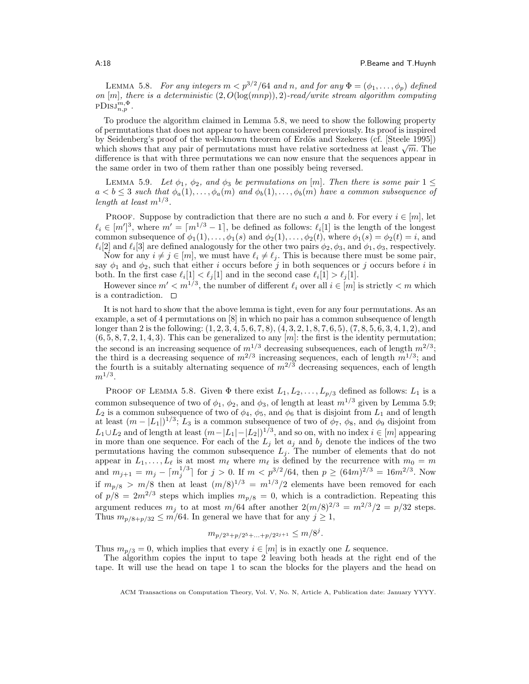LEMMA 5.8. For any integers  $m < p^{3/2}/64$  and n, and for any  $\Phi = (\phi_1, \dots, \phi_p)$  defined on  $[m]$ , there is a deterministic  $(2, O(\log(mnp)), 2)$ -read/write stream algorithm computing  $\text{PDisJ}_{n,p}^{\overline{m},\Phi}.$ 

To produce the algorithm claimed in Lemma 5.8, we need to show the following property of permutations that does not appear to have been considered previously. Its proof is inspired by Seidenberg's proof of the well-known theorem of Erdös and Szekeres (cf. [Steele 1995]) by seidenberg s proof of the well-known theorem of Erdos and Szekeres (cf. [Steele 1995])<br>which shows that any pair of permutations must have relative sortedness at least  $\sqrt{m}$ . The difference is that with three permutations we can now ensure that the sequences appear in the same order in two of them rather than one possibly being reversed.

LEMMA 5.9. Let  $\phi_1$ ,  $\phi_2$ , and  $\phi_3$  be permutations on [m]. Then there is some pair  $1 \leq$  $a < b \leq 3$  such that  $\phi_a(1), \ldots, \phi_a(m)$  and  $\phi_b(1), \ldots, \phi_b(m)$  have a common subsequence of length at least  $m^{1/3}$ .

PROOF. Suppose by contradiction that there are no such a and b. For every  $i \in [m]$ , let  $\ell_i \in [m']^3$ , where  $m' = \lceil m^{1/3} - 1 \rceil$ , be defined as follows:  $\ell_i[1]$  is the length of the longest common subsequence of  $\phi_1(1), \ldots, \phi_1(s)$  and  $\phi_2(1), \ldots, \phi_2(t)$ , where  $\phi_1(s) = \phi_2(t) = i$ , and  $\ell_i[2]$  and  $\ell_i[3]$  are defined analogously for the other two pairs  $\phi_2, \phi_3$ , and  $\phi_1, \phi_3$ , respectively.

Now for any  $i \neq j \in [m]$ , we must have  $\ell_i \neq \ell_j$ . This is because there must be some pair, say  $\phi_1$  and  $\phi_2$ , such that either *i* occurs before *j* in both sequences or *j* occurs before *i* in both. In the first case  $\ell_i[1] < \ell_j[1]$  and in the second case  $\ell_i[1] > \ell_j[1]$ .

However since  $m' < m^{1/3}$ , the number of different  $\ell_i$  over all  $i \in [m]$  is strictly  $\ell_i$  which is a contradiction.

It is not hard to show that the above lemma is tight, even for any four permutations. As an example, a set of 4 permutations on [8] in which no pair has a common subsequence of length longer than 2 is the following: (1, 2, 3, 4, 5, 6, 7, 8), (4, 3, 2, 1, 8, 7, 6, 5), (7, 8, 5, 6, 3, 4, 1, 2), and  $(6, 5, 8, 7, 2, 1, 4, 3)$ . This can be generalized to any  $[m]$ : the first is the identity permutation; the second is an increasing sequence of  $m^{1/3}$  decreasing subsequences, each of length  $m^{2/3}$ ; the third is a decreasing sequence of  $m^{2/3}$  increasing sequences, each of length  $m^{1/3}$ ; and the fourth is a suitably alternating sequence of  $m^{2/3}$  decreasing sequences, each of length  $m^{1/3}.$ 

PROOF OF LEMMA 5.8. Given  $\Phi$  there exist  $L_1, L_2, \ldots, L_{p/3}$  defined as follows:  $L_1$  is a common subsequence of two of  $\phi_1$ ,  $\phi_2$ , and  $\phi_3$ , of length at least  $m^{1/3}$  given by Lemma 5.9;  $L_2$  is a common subsequence of two of  $\phi_4$ ,  $\phi_5$ , and  $\phi_6$  that is disjoint from  $L_1$  and of length at least  $(m - |L_1|)^{1/3}$ ;  $L_3$  is a common subsequence of two of  $\phi_7$ ,  $\phi_8$ , and  $\phi_9$  disjoint from  $L_1 \cup L_2$  and of length at least  $(m-|L_1|-|L_2|)^{1/3}$ , and so on, with no index  $i \in [m]$  appearing in more than one sequence. For each of the  $L_j$  let  $a_j$  and  $b_j$  denote the indices of the two permutations having the common subsequence  $L_j$ . The number of elements that do not appear in  $L_1, \ldots, L_\ell$  is at most  $m_\ell$  where  $m_\ell$  is defined by the recurrence with  $m_0 = m$ and  $m_{j+1} = m_j - \lceil m_j^{1/3} \rceil$  for  $j > 0$ . If  $m < p^{3/2}/64$ , then  $p \ge (64m)^{2/3} = 16m^{2/3}$ . Now if  $m_{p/8} > m/8$  then at least  $(m/8)^{1/3} = m^{1/3}/2$  elements have been removed for each of  $p/8 = 2m^{2/3}$  steps which implies  $m_{p/8} = 0$ , which is a contradiction. Repeating this argument reduces  $m_j$  to at most  $m/64$  after another  $2(m/8)^{2/3} = m^{2/3}/2 = p/32$  steps. Thus  $m_{p/8+p/32} \le m/64$ . In general we have that for any  $j \ge 1$ ,

$$
m_{p/2^3+p/2^5+\ldots+p/2^{2j+1}} \le m/8^j.
$$

Thus  $m_{p/3} = 0$ , which implies that every  $i \in [m]$  is in exactly one L sequence.

The algorithm copies the input to tape 2 leaving both heads at the right end of the tape. It will use the head on tape 1 to scan the blocks for the players and the head on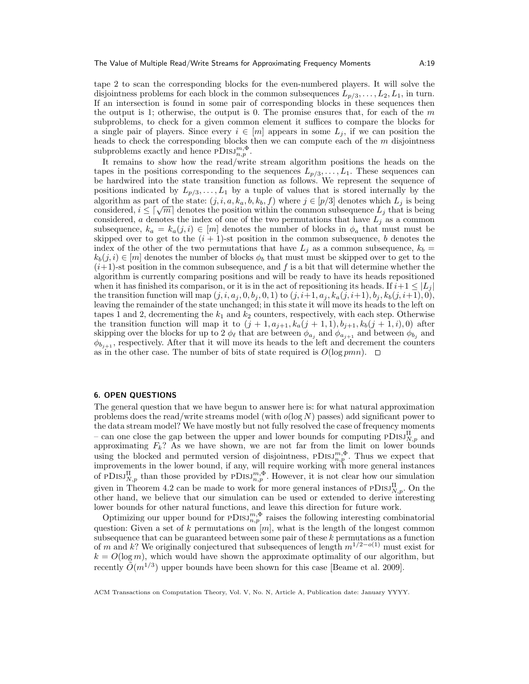tape 2 to scan the corresponding blocks for the even-numbered players. It will solve the disjointness problems for each block in the common subsequences  $L_{p/3}, \ldots, L_2, L_1$ , in turn. If an intersection is found in some pair of corresponding blocks in these sequences then the output is 1; otherwise, the output is 0. The promise ensures that, for each of the  $m$ subproblems, to check for a given common element it suffices to compare the blocks for a single pair of players. Since every  $i \in [m]$  appears in some  $L_j$ , if we can position the heads to check the corresponding blocks then we can compute each of the  $m$  disjointness subproblems exactly and hence  $PDISJ^{m,\Phi}_{n,p}$ .

It remains to show how the read/write stream algorithm positions the heads on the tapes in the positions corresponding to the sequences  $L_{p/3}, \ldots, L_1$ . These sequences can be hardwired into the state transition function as follows. We represent the sequence of positions indicated by  $L_{p/3}, \ldots, L_1$  by a tuple of values that is stored internally by the algorithm as part of the state:  $(j, i, a, k_a, b, k_b, f)$  where  $j \in [p/3]$  denotes which  $L_j$  is being algorithm as part of the state:  $(j, i, a, \kappa_a, b, \kappa_b, J)$  where  $j \in [p/s]$  denotes which  $L_j$  is being considered,  $i \leq [\sqrt{m}]$  denotes the position within the common subsequence  $L_j$  that is being considered, a denotes the index of one of the two permutations that have  $L_i$  as a common subsequence,  $k_a = k_a(j, i) \in [m]$  denotes the number of blocks in  $\phi_a$  that must must be skipped over to get to the  $(i + 1)$ -st position in the common subsequence, b denotes the index of the other of the two permutations that have  $L_i$  as a common subsequence,  $k_b =$  $k_b(j, i) \in [m]$  denotes the number of blocks  $\phi_b$  that must must be skipped over to get to the  $(i+1)$ -st position in the common subsequence, and f is a bit that will determine whether the algorithm is currently comparing positions and will be ready to have its heads repositioned when it has finished its comparison, or it is in the act of repositioning its heads. If  $i+1 \leq |L_i|$ the transition function will map  $(j, i, a_j, 0, b_j, 0, 1)$  to  $(j, i+1, a_j, k_a(j, i+1), b_j, k_b(j, i+1), 0)$ , leaving the remainder of the state unchanged; in this state it will move its heads to the left on tapes 1 and 2, decrementing the  $k_1$  and  $k_2$  counters, respectively, with each step. Otherwise the transition function will map it to  $(j + 1, a_{j+1}, k_a(j + 1, 1), b_{j+1}, k_b(j + 1, i), 0)$  after skipping over the blocks for up to 2  $\phi_{\ell}$  that are between  $\phi_{a_j}$  and  $\phi_{a_{j+1}}$  and between  $\phi_{b_j}$  and  $\phi_{b_{j+1}}$ , respectively. After that it will move its heads to the left and decrement the counters as in the other case. The number of bits of state required is  $O(\log pmn)$ .  $\Box$ 

#### 6. OPEN QUESTIONS

The general question that we have begun to answer here is: for what natural approximation problems does the read/write streams model (with  $o(\log N)$  passes) add significant power to the data stream model? We have mostly but not fully resolved the case of frequency moments – can one close the gap between the upper and lower bounds for computing  $PDISJ_{N,p}^{\Pi}$  and approximating  $F_k$ ? As we have shown, we are not far from the limit on lower bounds using the blocked and permuted version of disjointness,  $PDISJ_{n,p}^{m,\Phi}$ . Thus we expect that improvements in the lower bound, if any, will require working with more general instances of PDISJ $_{N,p}^{\Pi}$  than those provided by PDISJ $_{n,p}^{m,\Phi}$ . However, it is not clear how our simulation given in Theorem 4.2 can be made to work for more general instances of  $PDISJ_{N,p}^{\Pi}$ . On the other hand, we believe that our simulation can be used or extended to derive interesting lower bounds for other natural functions, and leave this direction for future work.

Optimizing our upper bound for  $PDIS_{n,p}^{m,\Phi}$  raises the following interesting combinatorial question: Given a set of k permutations on  $[m]$ , what is the length of the longest common subsequence that can be guaranteed between some pair of these k permutations as a function of m and k? We originally conjectured that subsequences of length  $m^{1/2-o(1)}$  must exist for  $k = O(\log m)$ , which would have shown the approximate optimality of our algorithm, but recently  $\tilde{O}(m^{1/3})$  upper bounds have been shown for this case [Beame et al. 2009].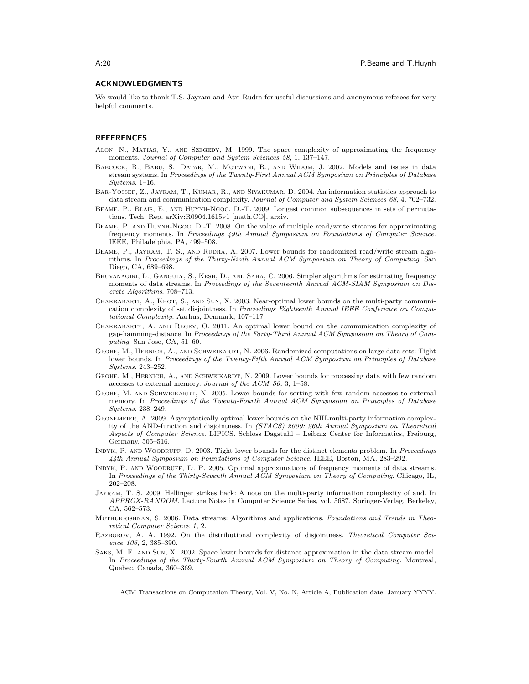### ACKNOWLEDGMENTS

We would like to thank T.S. Jayram and Atri Rudra for useful discussions and anonymous referees for very helpful comments.

## **REFERENCES**

- Alon, N., Matias, Y., and Szegedy, M. 1999. The space complexity of approximating the frequency moments. Journal of Computer and System Sciences 58, 1, 137–147.
- Babcock, B., Babu, S., Datar, M., Motwani, R., and Widom, J. 2002. Models and issues in data stream systems. In Proceedings of the Twenty-First Annual ACM Symposium on Principles of Database Systems. 1–16.
- BAR-YOSSEF, Z., JAYRAM, T., KUMAR, R., AND SIVAKUMAR, D. 2004. An information statistics approach to data stream and communication complexity. Journal of Computer and System Sciences 68, 4, 702–732.
- Beame, P., Blais, E., and Huynh-Ngoc, D.-T. 2009. Longest common subsequences in sets of permutations. Tech. Rep. arXiv:R0904.1615v1 [math.CO], arxiv.
- Beame, P. and Huynh-Ngoc, D.-T. 2008. On the value of multiple read/write streams for approximating frequency moments. In Proceedings 49th Annual Symposium on Foundations of Computer Science. IEEE, Philadelphia, PA, 499–508.
- BEAME, P., JAYRAM, T. S., AND RUDRA, A. 2007. Lower bounds for randomized read/write stream algorithms. In Proceedings of the Thirty-Ninth Annual ACM Symposium on Theory of Computing. San Diego, CA, 689–698.
- BHUVANAGIRI, L., GANGULY, S., KESH, D., AND SAHA, C. 2006. Simpler algorithms for estimating frequency moments of data streams. In Proceedings of the Seventeenth Annual ACM-SIAM Symposium on Discrete Algorithms. 708–713.
- Chakrabarti, A., Khot, S., and Sun, X. 2003. Near-optimal lower bounds on the multi-party communication complexity of set disjointness. In Proceedings Eighteenth Annual IEEE Conference on Computational Complexity. Aarhus, Denmark, 107–117.
- Chakrabarty, A. and Regev, O. 2011. An optimal lower bound on the communication complexity of gap-hamming-distance. In Proceedings of the Forty-Third Annual ACM Symposium on Theory of Computing. San Jose, CA, 51–60.
- GROHE, M., HERNICH, A., AND SCHWEIKARDT, N. 2006. Randomized computations on large data sets: Tight lower bounds. In Proceedings of the Twenty-Fifth Annual ACM Symposium on Principles of Database Systems. 243–252.
- GROHE, M., HERNICH, A., AND SCHWEIKARDT, N. 2009. Lower bounds for processing data with few random accesses to external memory. Journal of the ACM 56, 3, 1–58.
- GROHE, M. AND SCHWEIKARDT, N. 2005. Lower bounds for sorting with few random accesses to external memory. In Proceedings of the Twenty-Fourth Annual ACM Symposium on Principles of Database Systems. 238–249.
- Gronemeier, A. 2009. Asymptotically optimal lower bounds on the NIH-multi-party information complexity of the AND-function and disjointness. In (STACS) 2009: 26th Annual Symposium on Theoretical Aspects of Computer Science. LIPICS. Schloss Dagstuhl – Leibniz Center for Informatics, Freiburg, Germany, 505–516.
- INDYK, P. AND WOODRUFF, D. 2003. Tight lower bounds for the distinct elements problem. In Proceedings 44th Annual Symposium on Foundations of Computer Science. IEEE, Boston, MA, 283–292.
- Indyk, P. and Woodruff, D. P. 2005. Optimal approximations of frequency moments of data streams. In Proceedings of the Thirty-Seventh Annual ACM Symposium on Theory of Computing. Chicago, IL, 202–208.
- Jayram, T. S. 2009. Hellinger strikes back: A note on the multi-party information complexity of and. In APPROX-RANDOM. Lecture Notes in Computer Science Series, vol. 5687. Springer-Verlag, Berkeley, CA, 562–573.
- MUTHUKRISHNAN, S. 2006. Data streams: Algorithms and applications. Foundations and Trends in Theoretical Computer Science 1, 2.
- RAZBOROV, A. A. 1992. On the distributional complexity of disjointness. Theoretical Computer Science 106, 2, 385–390.
- Saks, M. E. and Sun, X. 2002. Space lower bounds for distance approximation in the data stream model. In Proceedings of the Thirty-Fourth Annual ACM Symposium on Theory of Computing. Montreal, Quebec, Canada, 360–369.